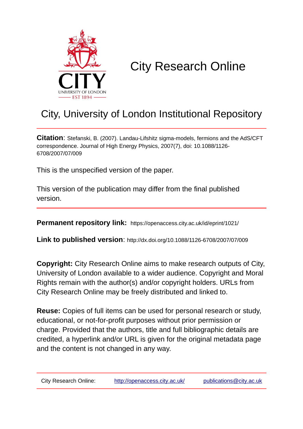

# City Research Online

# City, University of London Institutional Repository

**Citation**: Stefanski, B. (2007). Landau-Lifshitz sigma-models, fermions and the AdS/CFT correspondence. Journal of High Energy Physics, 2007(7), doi: 10.1088/1126- 6708/2007/07/009

This is the unspecified version of the paper.

This version of the publication may differ from the final published version.

**Permanent repository link:** https://openaccess.city.ac.uk/id/eprint/1021/

**Link to published version**: http://dx.doi.org/10.1088/1126-6708/2007/07/009

**Copyright:** City Research Online aims to make research outputs of City, University of London available to a wider audience. Copyright and Moral Rights remain with the author(s) and/or copyright holders. URLs from City Research Online may be freely distributed and linked to.

**Reuse:** Copies of full items can be used for personal research or study, educational, or not-for-profit purposes without prior permission or charge. Provided that the authors, title and full bibliographic details are credited, a hyperlink and/or URL is given for the original metadata page and the content is not changed in any way.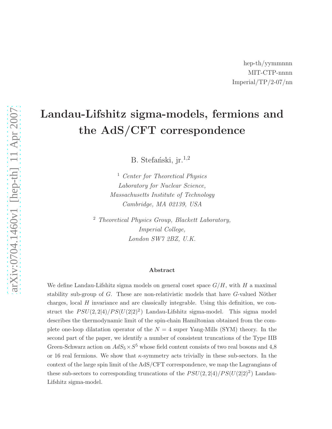# Landau-Lifshitz sigma-models, fermions and the AdS/CFT correspondence

B. Stefański, jr.<sup>1,2</sup>

<sup>1</sup> *Center for Theoretical Physics Laboratory for Nuclear Science, Massachusetts Institute of Technology Cambridge, MA 02139, USA*

<sup>2</sup> *Theoretical Physics Group, Blackett Laboratory, Imperial College, London SW7 2BZ, U.K.*

#### Abstract

We define Landau-Lifshitz sigma models on general coset space  $G/H$ , with  $H$  a maximal stability sub-group of  $G$ . These are non-relativistic models that have  $G$ -valued Nöther charges, local  $H$  invariance and are classically integrable. Using this definition, we construct the  $PSU(2,2|4)/PS(U(2|2)^2)$  Landau-Lifshitz sigma-model. This sigma model describes the thermodynamic limit of the spin-chain Hamiltonian obtained from the complete one-loop dilatation operator of the  $N = 4$  super Yang-Mills (SYM) theory. In the second part of the paper, we identify a number of consistent truncations of the Type IIB Green-Schwarz action on  $AdS_5 \times S^5$  whose field content consists of two real bosons and 4,8 or 16 real fermions. We show that  $\kappa$ -symmetry acts trivially in these sub-sectors. In the context of the large spin limit of the AdS/CFT correspondence, we map the Lagrangians of these sub-sectors to corresponding truncations of the  $PSU(2, 2|4)/PS(U(2|2)^2)$  Landau-Lifshitz sigma-model.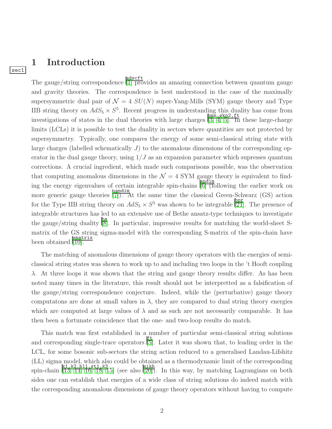### 1 Introduction

sec1

The gauge/string correspondence  $\boxed{1}$  provides an amazing connection between quantum gauge and gravity theories. The correspondence is best understood in the case of the maximally supersymmetric dual pair of  $\mathcal{N} = 4$   $SU(N)$  super-Yang-Mills (SYM) gauge theory and Type IIB string theory on  $AdS_5 \times S^5$ . Recent progress in understanding this duality has come from investigations of states in the dual theories with large charges  $\begin{bmatrix} \frac{\text{bmm}}{3, 4, 5} \end{bmatrix}$  $\begin{bmatrix} \frac{\text{bmm}}{3, 4, 5} \end{bmatrix}$  $\begin{bmatrix} \frac{\text{bmm}}{3, 4, 5} \end{bmatrix}$ . In these large-charge limits (LCLs) it is possible to test the duality in sectors where quantities are not protected by supersymmetry. Typically, one compares the energy of some semi-classical string state with large charges (labelled schematically  $J$ ) to the anomalous dimensions of the corresponding operator in the dual gauge theory, using  $1/J$  as an expansion parameter which supresses quantum corrections. A crucial ingredient, which made such comparisons possible, was the observation that computing anomalous dimensions in the  $\mathcal{N} = 4$  SYM gauge theory is equivalent to finding the energy eigenvalues of certain integrable spin-chains  $\begin{bmatrix} \frac{\text{and }im}{\text{[6]}} \\ \frac{\text{[6]}}{\text{[6]}} \end{bmatrix}$  $\begin{bmatrix} \frac{\text{and }im}{\text{[6]}} \\ \frac{\text{[6]}}{\text{[6]}} \end{bmatrix}$  $\begin{bmatrix} \frac{\text{and }im}{\text{[6]}} \\ \frac{\text{[6]}}{\text{[6]}} \end{bmatrix}$  (following the earlier work on more generic gauge theories  $\frac{\text{bandim}}{[7]}$  $\frac{\text{bandim}}{[7]}$  $\frac{\text{bandim}}{[7]}$ . At the same time the classical Green-Schwarz (GS) action for the Type IIB string theory on  $AdS_5 \times S^5$  was shown to be integrable [\[21\]](#page-41-0). The presence of integrable structures has led to an extensive use of Bethe ansatz-type techniques to investigate the gauge/string duality  $\frac{64}{8}$ . In particular, impressive results for matching the world-sheet Smatrix of the GS string sigma-model with the corresponding S-matrix of the spin-chain have been obtained **Finatrix** 

The matching of anomalous dimensions of gauge theory operators with the energies of semiclassical string states was shown to work up to and including two loops in the 't Hooft coupling  $\lambda$ . At three loops it was shown that the string and gauge theory results differ. As has been noted many times in the literature, this result should not be interpretted as a falsification of the gauge/string correspondence conjecture. Indeed, while the (perturbative) gauge theory computations are done at small values in  $\lambda$ , they are compared to dual string theory energies which are computed at large values of  $\lambda$  and as such are not necessarily comparable. It has then been a fortunate coincidence that the one- and two-loop results do match.

This match was first established in a number of particular semi-classical string solutions and corresponding single-trace operators  $\frac{f_t}{[5]}$  $\frac{f_t}{[5]}$  $\frac{f_t}{[5]}$ . Later it was shown that, to leading order in the LCL, for some bosonic sub-sectors the string action reduced to a generalised Landau-Lifshitz (LL) sigma model, which also could be obtained as a thermodynamic limit of the corresponding spin-chain  $\begin{bmatrix} k1, k2, h11, st1, k3 \\ 13, 14, 16, 18, 15 \end{bmatrix}$  $\begin{bmatrix} k1, k2, h11, st1, k3 \\ 13, 14, 16, 18, 15 \end{bmatrix}$  $\begin{bmatrix} k1, k2, h11, st1, k3 \\ 13, 14, 16, 18, 15 \end{bmatrix}$  $\begin{bmatrix} k1, k2, h11, st1, k3 \\ 13, 14, 16, 18, 15 \end{bmatrix}$  $\begin{bmatrix} k1, k2, h11, st1, k3 \\ 13, 14, 16, 18, 15 \end{bmatrix}$  (see also [\[20\]](#page-41-6)). In this way, by matching Lagrangians on both sides one can establish that energies of a wide class of string solutions do indeed match with the corresponding anomalous dimensions of gauge theory operators without having to compute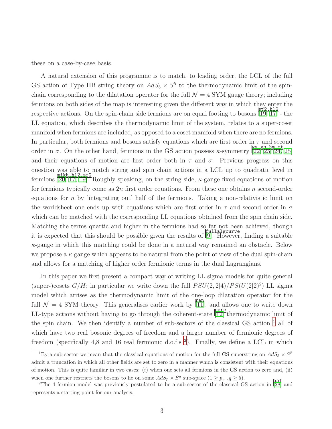these on a case-by-case basis.

A natural extension of this programme is to match, to leading order, the LCL of the full GS action of Type IIB string theory on  $AdS_5 \times S^5$  to the thermodynamic limit of the spinchain corresponding to the dilatation operator for the full  $\mathcal{N} = 4$  SYM gauge theory; including fermions on both sides of the map is interesting given the different way in which they enter the respective actions. On the spin-chain side fermions are on equal footing to bosons  $\frac{\text{st2,h12}}{[19, 17]}$  $\frac{\text{st2,h12}}{[19, 17]}$  $\frac{\text{st2,h12}}{[19, 17]}$  $\frac{\text{st2,h12}}{[19, 17]}$  - the LL equation, which describes the thermodynamic limit of the system, relates to a super-coset manifold when fermions are included, as opposed to a coset manifold when there are no fermions. In particular, both fermions and bosons satisfy equations which are first order in  $\tau$  and second order in  $\sigma$ . On the other hand, fermions in the GS action possess  $\kappa$ -symmetry [\[22,](#page-41-9) [23,](#page-42-0) [24,](#page-42-1) [25\]](#page-42-2) and their equations of motion are first order both in  $\tau$  and  $\sigma$ . Previous progress on this question was able to match string and spin chain actions in a LCL up to quadratic level in fermions  $\frac{\text{mikh}, \text{h12}, \text{st2}}{20, 17, 19}$  $\frac{\text{mikh}, \text{h12}, \text{st2}}{20, 17, 19}$  $\frac{\text{mikh}, \text{h12}, \text{st2}}{20, 17, 19}$ . Roughly speaking, on the string side,  $\kappa$ -gauge fixed equations of motion for fermions typically come as  $2n$  first order equations. From these one obtains n second-order equations for n by 'integrating out' half of the fermions. Taking a non-relativistic limit on the worldsheet one ends up with equations which are first order in  $\tau$  and second order in  $\sigma$ which can be matched with the corresponding LL equations obtained from the spin chain side. Matching the terms quartic and higher in the fermions had so far not been achieved, though it is expected that this should be possible given the results of  $\boxed{9}$ . However, finding a suitable  $\kappa$ -gauge in which this matching could be done in a natural way remained an obstacle. Below we propose a  $\kappa$  gauge which appears to be natural from the point of view of the dual spin-chain and allows for a matching of higher order fermionic terms in the dual Lagrangians.

In this paper we first present a compact way of writing LL sigma models for quite general (super-)cosets  $G/H$ ; in particular we write down the full  $PSU(2, 2|4)/PS(U(2|2)^2)$  LL sigma model which arrises as the thermodynamic limit of the one-loop dilatation operator for the full  $\mathcal{N} = 4$  SYM theory. This generalises earlier work by  $\begin{bmatrix} \text{ran} \\ \text{III} \end{bmatrix}$ , and allows one to write down LL-type actions without having to go through the coherent-state  $\frac{pere}{12}$  thermodynamic limit of the spin chain. We then identify a number of sub-sectors of the classical GS action  $<sup>1</sup>$  $<sup>1</sup>$  $<sup>1</sup>$  all of</sup> which have two real bosonic degrees of freedom and a larger number of fermionic degrees of freedom (specifically 4,8 and 16 real fermionic d.o.f.s<sup>[2](#page-3-1)</sup>). Finally, we define a LCL in which

<span id="page-3-0"></span><sup>&</sup>lt;sup>1</sup>By a sub-sector we mean that the classical equations of motion for the full GS superstring on  $AdS_5 \times S^5$ admit a truncation in which all other fields are set to zero in a manner which is consistent with their equations of motion. This is quite familiar in two cases:  $(i)$  when one sets all fermions in the GS action to zero and, (ii) when one further restricts the bosons to lie on some  $AdS_p \times S^q$  sub-space  $(1 \geq p, q \geq 5)$ .

<span id="page-3-1"></span><sup>&</sup>lt;sup>2</sup>The 4 fermion model was previously postulated to be a sub-sector of the classical GS action in [\[28\]](#page-42-3) and <sup>2</sup>The 4 fermion model was previously postulated to be a sub-sector of the classical GS action in [28] and represents a starting point for our analysis.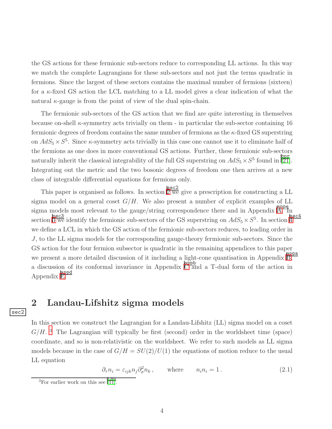the GS actions for these fermionic sub-sectors reduce to corresponding LL actions. In this way we match the complete Lagrangians for these sub-sectors and not just the terms quadratic in fermions. Since the largest of these sectors contains the maximal number of fermions (sixteen) for a κ-fixed GS action the LCL matching to a LL model gives a clear indication of what the natural  $\kappa$ -gauge is from the point of view of the dual spin-chain.

The fermionic sub-sectors of the GS action that we find are quite interesting in themselves because on-shell  $\kappa$ -symmetry acts trivially on them - in particular the sub-sector containing 16 fermionic degrees of freedom contains the same number of fermions as the  $\kappa$ -fixed GS superstring on  $AdS_5 \times S^5$ . Since  $\kappa$ -symmetry acts trivially in this case one cannot use it to eliminate half of the fermions as one does in more conventional GS actions. Further, these fermionic sub-sectors naturally inherit the classical integrability of the full GS superstring on  $AdS_5 \times S^5$  found in  $\frac{\text{ppr}}{21}$ . Integrating out the metric and the two bosonic degrees of freedom one then arrives at a new class of integrable differential equations for fermions only.

This paper is organised as follows. In section  $\frac{\sec 2}{2}$  $\frac{\sec 2}{2}$  $\frac{\sec 2}{2}$  we give a prescription for constructing a LL sigma model on a general coset  $G/H$ . We also present a number of explicit examples of LL sigma models most relevant to the gauge/string correspondence there and in Appendix  $\overline{A}$ . In section  $\overline{3}$  $\overline{3}$  $\overline{3}$  we identify the fermionic sub-sectors of the GS superstring on  $AdS_5 \times S^5$ . In section  $\overline{4}$  $\overline{4}$  $\overline{4}$ we define a LCL in which the GS action of the fermionic sub-sectors reduces, to leading order in J, to the LL sigma models for the corresponding gauge-theory fermionic sub-sectors. Since the GS action for the four fermion subsector is quadratic in the remaining appendices to this paper we present a more detailed discussion of it including a light-cone quantisation in Appendix  $\mathbb{B}$ , a discussion of its conformal invariance in Appendix  $\overrightarrow{C}$  $\overrightarrow{C}$  $\overrightarrow{C}$  and a T-dual form of the action in Appendix [E.](#page-36-0)

### <span id="page-4-0"></span>2 Landau-Lifshitz sigma models

sec2

In this section we construct the Lagrangian for a Landau-Lifshitz (LL) sigma model on a coset  $G/H$ .<sup>[3](#page-4-1)</sup> The Lagrangian will typically be first (second) order in the worldsheet time (space) coordinate, and so is non-relativistic on the worldsheet. We refer to such models as LL sigma models because in the case of  $G/H = SU(2)/U(1)$  the equations of motion reduce to the usual LL equation

$$
\partial_{\tau} n_i = \varepsilon_{ijk} n_j \partial_{\sigma}^2 n_k, \qquad \text{where} \qquad n_i n_i = 1. \tag{2.1}
$$

<span id="page-4-1"></span> $\frac{1}{3}$ For earlier work on this see  $\left[\frac{11}{11}\right]$ .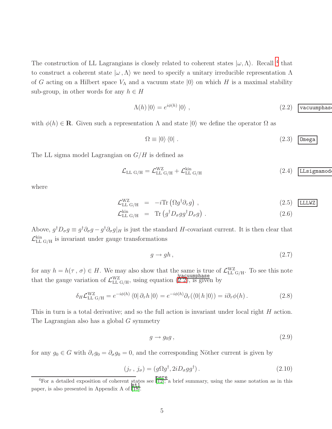The construction of LL Lagrangians is closely related to coherent states  $|\omega, \Lambda\rangle$ . Recall <sup>[4](#page-5-0)</sup> that to construct a coherent state  $|\omega, \Lambda\rangle$  we need to specify a unitary irreducible representation  $\Lambda$ of G acting on a Hilbert space  $V_{\Lambda}$  and a vacuum state  $|0\rangle$  on which H is a maximal stability sub-group, in other words for any  $h \in H$ 

<span id="page-5-1"></span>
$$
\Lambda(h) \left| 0 \right\rangle = e^{i\phi(h)} \left| 0 \right\rangle , \qquad (2.2) \quad \text{vacuumphas}
$$

with  $\phi(h) \in \mathbf{R}$ . Given such a representation  $\Lambda$  and state  $|0\rangle$  we define the operator  $\Omega$  as

$$
\Omega \equiv |0\rangle\langle 0| \ . \tag{2.3}
$$
 
$$
\mathsf{Omega}
$$

The LL sigma model Lagrangian on  $G/H$  is defined as

<span id="page-5-2"></span>
$$
\mathcal{L}_{\text{LL G/H}} = \mathcal{L}_{\text{LL G/H}}^{\text{WZ}} + \mathcal{L}_{\text{LL G/H}}^{\text{kin}} \tag{2.4}
$$

where

<span id="page-5-3"></span>
$$
\mathcal{L}_{LL G/H}^{WZ} = -i \text{Tr} \left( \Omega g^{\dagger} \partial_{\tau} g \right), \tag{2.5}
$$
\n
$$
\mathcal{L}_{LL WZ}^{\text{kin}} = \text{Tr} \left( \alpha^{\dagger} D_{\tau} g \alpha^{\dagger} D_{\tau} g \right) \tag{2.6}
$$

$$
\mathcal{L}_{\text{LL G/H}}^{\text{kin}} = \text{Tr}\left(g^{\dagger} D_{\sigma} g g^{\dagger} D_{\sigma} g\right). \tag{2.6}
$$

Above,  $g^{\dagger}D_{\sigma}g \equiv g^{\dagger}\partial_{\sigma}g - g^{\dagger}\partial_{\sigma}g|_H$  is just the standard H-covariant current. It is then clear that  $\mathcal{L}_{\text{LL G/H}}^{\text{kin}}$  is invariant under gauge transformations

$$
g \to gh \,,\tag{2.7}
$$

for any  $h = h(\tau, \sigma) \in H$ . We may also show that the same is true of  $\mathcal{L}_{LL G/H}^{WZ}$ . To see this note that the gauge variation of  $\mathcal{L}_{LL\ G/H}^{WZ}$ , using equation  $(\mathbb{Z}.2)$ , is given by

$$
\delta_H \mathcal{L}_{LL \text{ G/H}}^{\text{WZ}} = e^{-i\phi(h)} \langle 0 | \partial_\tau h | 0 \rangle = e^{-i\phi(h)} \partial_\tau (\langle 0 | h | 0 \rangle) = i \partial_\tau \phi(h) . \tag{2.8}
$$

This in turn is a total derivative; and so the full action is invariant under local right H action. The Lagrangian also has a global G symmetry

$$
g \to g_0 g \,, \tag{2.9}
$$

for any  $g_0 \in G$  with  $\partial_{\tau} g_0 = \partial_{\sigma} g_0 = 0$ , and the corresponding Nöther current is given by

$$
(j_{\tau}, j_{\sigma}) = (g\Omega g^{\dagger}, 2iD_{\sigma}gg^{\dagger}). \tag{2.10}
$$

<span id="page-5-0"></span><sup>&</sup>lt;sup>4</sup>For a detailed exposition of coherent states see  $\frac{\text{pere}}{12}$ ; a brief summary, using the same notation as in this paper, is also presented in Appendix A of  $\frac{\text{st1}}{18}$ .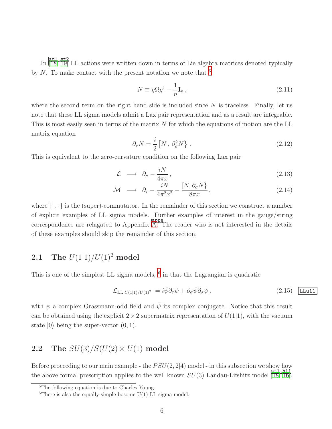In [\[18,](#page-41-4) [19\]](#page-41-7) LL actions were written down in terms of Lie algebra matrices denoted typically by  $N$ . To make contact with the present notation we note that  $5$ 

$$
N \equiv g\Omega g^{\dagger} - \frac{1}{n}\mathbf{I}_n, \qquad (2.11)
$$

where the second term on the right hand side is included since  $N$  is traceless. Finally, let us note that these LL sigma models admit a Lax pair representation and as a result are integrable. This is most easily seen in terms of the matrix  $N$  for which the equations of motion are the LL matrix equation

$$
\partial_{\tau} N = \frac{i}{2} \left[ N \, , \, \partial_{\sigma}^2 N \right] \,. \tag{2.12}
$$

This is equivalent to the zero-curvature condition on the following Lax pair

$$
\mathcal{L} \longrightarrow \partial_{\sigma} - \frac{iN}{4\pi x}, \qquad (2.13)
$$

$$
\mathcal{M} \longrightarrow \partial_{\tau} - \frac{iN}{4\pi^2 x^2} - \frac{[N, \partial_{\sigma} N]}{8\pi x}, \qquad (2.14)
$$

where  $[\cdot, \cdot]$  is the (super)-commutator. In the remainder of this section we construct a number of explicit examples of LL sigma models. Further examples of interest in the gauge/string  $\overline{\text{corrected}}$  correspondence are relagated to Appendix [A.](#page-23-0) The reader who is not interested in the details of these examples should skip the remainder of this section.

### **2.1** The  $U(1|1)/U(1)^2$  model

This is one of the simplest LL sigma models, <sup>[6](#page-6-1)</sup> in that the Lagrangian is quadratic

<span id="page-6-2"></span>
$$
\mathcal{L}_{\text{LL }U(1|1)/U(1)^2} = i\bar{\psi}\partial_\tau\psi + \partial_\sigma\bar{\psi}\partial_\sigma\psi, \qquad (2.15) \quad \text{LLu11}
$$

with  $\psi$  a complex Grassmann-odd field and  $\bar{\psi}$  its complex conjugate. Notice that this result can be obtained using the explicit  $2 \times 2$  supermatrix representation of  $U(1|1)$ , with the vacuum state  $|0\rangle$  being the super-vector  $(0, 1)$ .

### 2.2 The  $SU(3)/S(U(2) \times U(1)$  model

Before proceeding to our main example - the  $PSU(2, 2|4)$  model - in this subsection we show how the above formal prescription applies to the well known  $SU(3)$  Landau-Lifshitz model  $\frac{\text{st1},\text{h11}}{18,16}$ .

<sup>&</sup>lt;sup>5</sup>The following equation is due to Charles Young.

<span id="page-6-1"></span><span id="page-6-0"></span><sup>&</sup>lt;sup>6</sup>There is also the equally simple bosonic  $U(1)$  LL sigma model.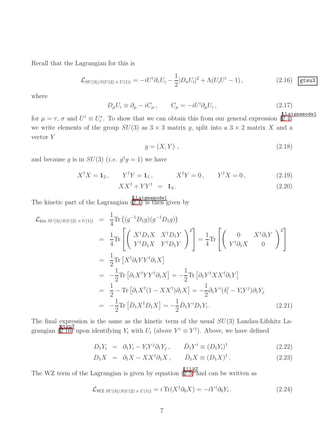Recall that the Lagrangian for this is

<span id="page-7-0"></span>
$$
\mathcal{L}_{SU(3)/S(U(2) \times U(1))} = -iU^{i}\partial_{\tau}U_{i} - \frac{1}{2}|D_{\sigma}U_{i}|^{2} + \Lambda(U_{i}U^{i} - 1), \qquad (2.16) \quad \text{gtsu3}
$$

where

$$
D_{\mu}U_i \equiv \partial_{\mu} - iC_{\mu} \,, \qquad C_{\mu} = -iU^i \partial_{\mu} U_i \,, \tag{2.17}
$$

for  $\mu = \tau$ ,  $\sigma$  and  $U^i \equiv U_i^*$ . To show that we can obtain this from our general expression  $(E.4)$ we write elements of the group  $SU(3)$  as  $3 \times 3$  matrix g, split into a  $3 \times 2$  matrix X and a vector Y

$$
g = (X, Y) \tag{2.18}
$$

and because g is in  $SU(3)$  (*i.e.*  $g^{\dagger}g = 1$ ) we have

$$
X^{\dagger}X = \mathbf{1}_2, \qquad Y^{\dagger}Y = \mathbf{1}_1, \qquad X^{\dagger}Y = 0, \qquad Y^{\dagger}X = 0, \tag{2.19}
$$

$$
XX^{\dagger} + YY^{\dagger} = \mathbf{1}_3. \tag{2.20}
$$

$$
[I.I.s. i \text{ command}]
$$

The kinetic part of the Lagrangian  $(\overline{2.4})$  is then given by

$$
\mathcal{L}_{\text{kin }SU(3)/S(U(2)\times U(1))} = \frac{1}{4} \text{Tr} \left( (g^{-1} D_1 g)(g^{-1} D_1 g) \right)
$$
\n
$$
= \frac{1}{4} \text{Tr} \left[ \left( \begin{array}{cc} X^{\dagger} D_1 X & X^{\dagger} D_1 Y \\ Y^{\dagger} D_1 X & Y^{\dagger} D_1 Y \end{array} \right)^2 \right] = \frac{1}{4} \text{Tr} \left[ \left( \begin{array}{cc} 0 & X^{\dagger} \partial_1 Y \\ Y^{\dagger} \partial_1 X & 0 \end{array} \right)^2 \right]
$$
\n
$$
= \frac{1}{2} \text{Tr} \left[ X^{\dagger} \partial_1 Y Y^{\dagger} \partial_1 X \right]
$$
\n
$$
= -\frac{1}{2} \text{Tr} \left[ \partial_1 X^{\dagger} Y Y^{\dagger} \partial_1 X \right] = -\frac{1}{2} \text{Tr} \left[ \partial_1 Y^{\dagger} X X^{\dagger} \partial_1 Y \right]
$$
\n
$$
= \frac{1}{2} - \text{Tr} \left[ \partial_1 X^{\dagger} (1 - X X^{\dagger}) \partial_1 X \right] = -\frac{1}{2} \partial_1 Y^i (\delta_i^j - Y_i Y^j) \partial_1 Y_j
$$
\n
$$
= -\frac{1}{2} \text{Tr} \left[ \bar{D}_1 X^{\dagger} D_1 X \right] = -\frac{1}{2} \bar{D}_1 Y^i D_1 Y_i. \tag{2.21}
$$

The final expression is the same as the kinetic term of the usual  $SU(3)$  Landau-Lifshitz La-grangian ([2.16\)](#page-7-0) upon identifying  $Y_i$  with  $U_i$  (above  $Y^i \equiv Y^{\dagger}$ ). Above, we have defined

$$
D_1 Y_i = \partial_1 Y_i - Y_i Y^j \partial_1 Y_j, \qquad \bar{D}_1 Y^i \equiv (D_1 Y_i)^{\dagger} \tag{2.22}
$$

$$
D_1 X = \partial_1 X - X X^{\dagger} \partial_1 X, \qquad \bar{D}_1 X \equiv (D_1 X)^{\dagger}.
$$
 (2.23)

The WZ term of the Lagrangian is given by equation  $(E.5)$  and can be written as

$$
\mathcal{L}_{\text{WZ }SU(3)/S(U(2)\times U(1))} = i \operatorname{Tr}(X^{\dagger} \partial_0 X) = -i Y^i \partial_0 Y_i. \qquad (2.24)
$$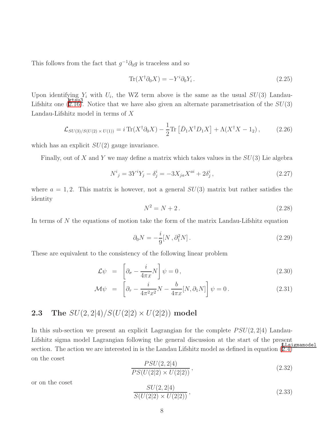This follows from the fact that  $g^{-1}\partial_0 g$  is traceless and so

$$
\text{Tr}(X^{\dagger} \partial_0 X) = -Y^i \partial_0 Y_i. \tag{2.25}
$$

Upon identifying  $Y_i$  with  $U_i$ , the WZ term above is the same as the usual  $SU(3)$  Landau-Lifshitz one  $(E.16)$ . Notice that we have also given an alternate parametrisation of the  $SU(3)$ Landau-Lifshitz model in terms of X

$$
\mathcal{L}_{SU(3)/S(U(2)\times U(1))} = i \operatorname{Tr}(X^{\dagger} \partial_0 X) - \frac{1}{2} \operatorname{Tr} \left[ \bar{D}_1 X^{\dagger} D_1 X \right] + \Lambda (X^{\dagger} X - 1_2), \tag{2.26}
$$

which has an explicit  $SU(2)$  gauge invariance.

Finally, out of X and Y we may define a matrix which takes values in the  $SU(3)$  Lie algebra

$$
N^{i}{}_{j} = 3Y^{i}Y_{j} - \delta^{i}_{j} = -3X_{ja}X^{ai} + 2\delta^{i}_{j}, \qquad (2.27)
$$

where  $a = 1, 2$ . This matrix is however, not a general  $SU(3)$  matrix but rather satisfies the identity

$$
N^2 = N + 2. \t\t(2.28)
$$

In terms of N the equations of motion take the form of the matrix Landau-Lifshitz equation

$$
\partial_0 N = -\frac{i}{9} [N, \partial_1^2 N]. \tag{2.29}
$$

These are equivalent to the consistency of the following linear problem

$$
\mathcal{L}\psi = \left[\partial_{\sigma} - \frac{i}{4\pi x}N\right]\psi = 0, \qquad (2.30)
$$

$$
\mathcal{M}\psi = \left[\partial_{\tau} - \frac{i}{4\pi^2 x^2} N - \frac{b}{4\pi x} [N, \partial_1 N] \right] \psi = 0. \qquad (2.31)
$$

### **2.3** The  $SU(2, 2|4)/S(U(2|2) \times U(2|2))$  model

In this sub-section we present an explicit Lagrangian for the complete  $PSU(2, 2|4)$  Landau-Lifshitz sigma model Lagrangian following the general discussion at the start of the present section. The action we are interested in is the Landau Lifshitz model as defined in equation  $(\overline{2.4})$ on the coset

$$
\frac{PSU(2,2|4)}{PS(U(2|2) \times U(2|2))},
$$
\n(2.32)

or on the coset

$$
\frac{SU(2,2|4)}{S(U(2|2) \times U(2|2))},
$$
\n(2.33)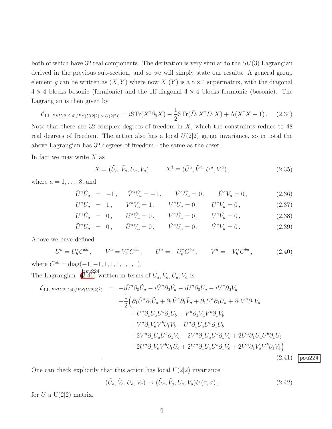both of which have 32 real components. The derivation is very similar to the  $SU(3)$  Lagrangian derived in the previous sub-section, and so we will simply state our results. A general group element g can be written as  $(X, Y)$  where now  $X(Y)$  is a  $8 \times 4$  supermatrix, with the diagonal  $4 \times 4$  blocks bosonic (fermionic) and the off-diagonal  $4 \times 4$  blocks fermionic (bosonic). The Lagrangian is then given by

$$
\mathcal{L}_{\text{LL} \, PSU(2,2|4)/PS(U(2|2) \times U(2|2))} = i\text{STr}(X^{\dagger}\partial_0 X) - \frac{1}{2}\text{STr}(\bar{D}_1 X^{\dagger} D_1 X) + \Lambda(X^{\dagger} X - 1). \tag{2.34}
$$

Note that there are 32 complex degrees of freedom in  $X$ , which the constraints reduce to 48 real degrees of freedom. The action also has a local  $U(2|2)$  gauge invariance, so in total the above Lagrangian has 32 degrees of freedom - the same as the coset.

In fact we may write  $X$  as

$$
X = (\tilde{U}_a, \tilde{V}_a, U_a, V_a), \qquad X^{\dagger} \equiv (\tilde{U}^a, \tilde{V}^a, U^a, V^a), \qquad (2.35)
$$

where  $a = 1, \ldots, 8$ , and

$$
\tilde{U}^{a}\tilde{U}_{a} = -1, \quad \tilde{V}^{a}\tilde{V}_{a} = -1, \quad \tilde{V}^{a}\tilde{U}_{a} = 0, \quad \tilde{U}^{a}\tilde{V}_{a} = 0,
$$
\n(2.36)

$$
U^{a}U_{a} = 1, \qquad V^{a}V_{a} = 1, \qquad V^{a}U_{a} = 0, \qquad U^{a}V_{a} = 0, \tag{2.37}
$$

$$
U^{a}\tilde{U}_{a} = 0, \qquad U^{a}\tilde{V}_{a} = 0, \qquad V^{a}\tilde{U}_{a} = 0, \qquad V^{a}\tilde{V}_{a} = 0, \tag{2.38}
$$

$$
\tilde{U}^a U_a = 0, \qquad \tilde{U}^a V_a = 0, \qquad \tilde{V}^a U_a = 0, \qquad \tilde{V}^a V_a = 0. \tag{2.39}
$$

Above we have defined

$$
U^{a} = U_{b}^{*} C^{ba}, \qquad V^{a} = V_{b}^{*} C^{ba}, \qquad \tilde{U}^{a} = -\tilde{U}_{b}^{*} C^{ba}, \qquad \tilde{V}^{a} = -\tilde{V}_{b}^{*} C^{ba}, \qquad (2.40)
$$

where  $C^{ab} = \text{diag}(-1, -1, 1, 1, 1, 1, 1, 1)$ .

The Lagrangian  $\left( \frac{\text{psu224}}{2.41} \right)$  written in terms of  $\tilde{U}_a, \tilde{V}_a, U_a, V_a$  is

<span id="page-9-0"></span>
$$
\mathcal{L}_{LL\,PSU(2,2|4)/PS(U(2|2)^{2})} = -i\tilde{U}^{a}\partial_{0}\tilde{U}_{a} - i\tilde{V}^{a}\partial_{0}\tilde{V}_{a} - iU^{a}\partial_{0}U_{a} - iV^{a}\partial_{0}V_{a} \n- \frac{1}{2}\Big(\partial_{1}\tilde{U}^{a}\partial_{1}\tilde{U}_{a} + \partial_{1}\tilde{V}^{a}\partial_{1}\tilde{V}_{a} + \partial_{1}U^{a}\partial_{1}U_{a} + \partial_{1}V^{a}\partial_{1}V_{a} \n- \tilde{U}^{a}\partial_{1}\tilde{U}_{a}\tilde{U}^{b}\partial_{1}\tilde{U}_{b} - \tilde{V}^{a}\partial_{1}\tilde{V}_{a}\tilde{V}^{b}\partial_{1}\tilde{V}_{b} \n+ V^{a}\partial_{1}V_{a}V^{b}\partial_{1}V_{b} + U^{a}\partial_{1}U_{a}U^{b}\partial_{1}U_{b} \n+ 2V^{a}\partial_{1}U_{a}U^{b}\partial_{1}V_{b} - 2\tilde{V}^{a}\partial_{1}\tilde{U}_{a}\tilde{U}^{b}\partial_{1}\tilde{V}_{b} + 2\tilde{U}^{a}\partial_{1}U_{a}U^{b}\partial_{1}\tilde{U}_{b} \n+ 2\tilde{U}^{a}\partial_{1}V_{a}V^{b}\partial_{1}\tilde{U}_{b} + 2\tilde{V}^{a}\partial_{1}U_{a}U^{b}\partial_{1}\tilde{V}_{b} + 2\tilde{V}^{a}\partial_{1}V_{a}V^{b}\partial_{1}\tilde{V}_{b})
$$
\n(2.41) 
$$
\boxed{\text{psu224}}
$$

One can check explicitly that this action has local  $U(2|2)$  invariance

$$
(\tilde{U}_a, \tilde{V}_a, U_a, V_a) \rightarrow (\tilde{U}_a, \tilde{V}_a, U_a, V_a) U(\tau, \sigma), \qquad (2.42)
$$

for U a  $U(2|2)$  matrix.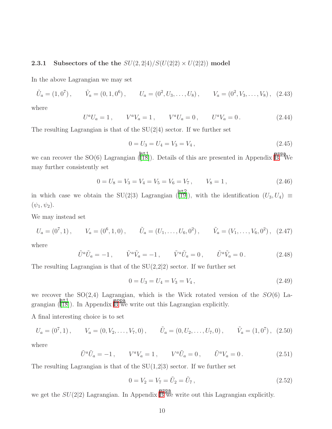#### 2.3.1 Subsectors of the the  $SU(2, 2|4)/S(U(2|2) \times U(2|2))$  model

In the above Lagrangian we may set

$$
\tilde{U}_a = (1,0^7), \qquad \tilde{V}_a = (0,1,0^6), \qquad U_a = (0^2, U_3, \dots, U_8), \qquad V_a = (0^2, V_3, \dots, V_8), \quad (2.43)
$$

where

$$
U^{a}U_{a} = 1, \qquad V^{a}V_{a} = 1, \qquad V^{a}U_{a} = 0, \qquad U^{a}V_{a} = 0. \tag{2.44}
$$

The resulting Lagrangian is that of the  $SU(2|4)$  sector. If we further set

$$
0 = U_3 = U_4 = V_3 = V_4, \t\t(2.45)
$$

we can recover the SO(6) Lagrangian  $\frac{|\text{st1}|}{|\text{TS}|}$ . Details of this are presented in Appendix [B.](#page-30-0) We may further consistently set

$$
0 = U_8 = V_3 = V_4 = V_5 = V_6 = V_7, \qquad V_8 = 1, \tag{2.46}
$$

in which case we obtain the SU(2|3) Lagrangian ( $\begin{bmatrix} 5t2 \\ 19 \end{bmatrix}$ ), with the identification  $(U_3, U_4) \equiv$  $(\psi_1, \psi_2).$ 

We may instead set

$$
U_a = (0^7, 1), \qquad V_a = (0^6, 1, 0), \qquad \tilde{U}_a = (U_1, \dots, U_6, 0^2), \qquad \tilde{V}_a = (V_1, \dots, V_6, 0^2), \quad (2.47)
$$

where

$$
\tilde{U}^a \tilde{U}_a = -1, \qquad \tilde{V}^a \tilde{V}_a = -1, \qquad \tilde{V}^a \tilde{U}_a = 0, \qquad \tilde{U}^a \tilde{V}_a = 0. \tag{2.48}
$$

The resulting Lagrangian is that of the  $SU(2,2|2)$  sector. If we further set

$$
0 = U_3 = U_4 = V_3 = V_4, \tag{2.49}
$$

we recover the  $SO(2,4)$  Lagrangian, which is the Wick rotated version of the  $SO(6)$  Lagrangian  $\begin{pmatrix} \text{st1} \\ \text{[18]} \end{pmatrix}$  $\begin{pmatrix} \text{st1} \\ \text{[18]} \end{pmatrix}$  $\begin{pmatrix} \text{st1} \\ \text{[18]} \end{pmatrix}$ . In Appendix [B](#page-30-0) we write out this Lagrangian explicitly.

A final interesting choice is to set

$$
U_a = (0^7, 1), \qquad V_a = (0, V_2, \dots, V_7, 0), \qquad \tilde{U}_a = (0, U_2, \dots, U_7, 0), \qquad \tilde{V}_a = (1, 0^7), \tag{2.50}
$$

where

$$
\tilde{U}^a \tilde{U}_a = -1 \,, \qquad V^a V_a = 1 \,, \qquad V^a \tilde{U}_a = 0 \,, \qquad \tilde{U}^a V_a = 0 \,. \tag{2.51}
$$

The resulting Lagrangian is that of the  $SU(1,2|3)$  sector. If we further set

$$
0 = V_2 = V_7 = \tilde{U}_2 = \tilde{U}_7, \qquad (2.52)
$$

we get the  $SU(2|2)$  Lagrangian. In Appendix  $\overline{B}$  $\overline{B}$  $\overline{B}$  we write out this Lagrangian explicitly.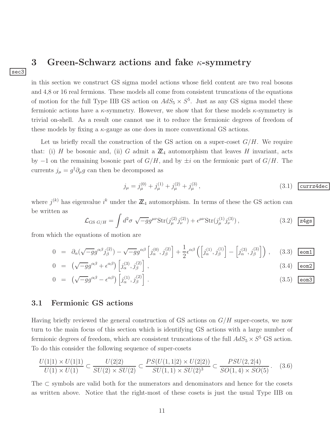### <span id="page-11-0"></span>3 Green-Schwarz actions and fake  $\kappa$ -symmetry

in this section we construct GS sigma model actions whose field content are two real bosons and 4,8 or 16 real fermions. These models all come from consistent truncations of the equations of motion for the full Type IIB GS action on  $AdS_5 \times S^5$ . Just as any GS sigma model these fermionic actions have a  $\kappa$ -symmetry. However, we show that for these models  $\kappa$ -symmetry is trivial on-shell. As a result one cannot use it to reduce the fermionic degrees of freedom of these models by fixing a  $\kappa$ -gauge as one does in more conventional GS actions.

Let us briefly recall the construction of the GS action on a super-coset  $G/H$ . We require that: (i) H be bosonic and, (ii) G admit a  $\mathbb{Z}_4$  automorphism that leaves H invariant, acts by  $-1$  on the remaining bosonic part of  $G/H$ , and by  $\pm i$  on the fermionic part of  $G/H$ . The currents  $j_{\mu} = g^{\dagger} \partial_{\mu} g$  can then be decomposed as

$$
j_{\mu} = j_{\mu}^{(0)} + j_{\mu}^{(1)} + j_{\mu}^{(2)} + j_{\mu}^{(3)}, \qquad (3.1)
$$
  $\boxed{\text{curr} \text{z} \text{4dec}}$ 

where  $j^{(k)}$  has eigenvalue  $i^k$  under the  $\mathbb{Z}_4$  automorphism. In terms of these the GS action can be written as

<span id="page-11-1"></span>
$$
\mathcal{L}_{\text{GS }G/H} = \int d^2 \sigma \sqrt{-g} g^{\mu \nu} \text{Str}(j_{\mu}^{(2)} j_{\nu}^{(2)}) + \epsilon^{\mu \nu} \text{Str}(j_{\mu}^{(1)} j_{\nu}^{(3)}), \qquad (3.2) \quad \boxed{\text{z4gs}}
$$

from which the equations of motion are

sec3

<span id="page-11-2"></span>
$$
0 = \partial_{\alpha}(\sqrt{-g}g^{\alpha\beta}j_{\beta}^{(2)}) - \sqrt{-g}g^{\alpha\beta}\left[j_{\alpha}^{(0)}, j_{\beta}^{(2)}\right] + \frac{1}{2}\epsilon^{\alpha\beta}\left(\left[j_{\alpha}^{(1)}, j_{\beta}^{(1)}\right] - \left[j_{\alpha}^{(3)}, j_{\beta}^{(3)}\right]\right), \quad (3.3) \quad \boxed{\text{eom} \ 1}
$$
  

$$
0 = (\sqrt{-g}g^{\alpha\beta} + \epsilon^{\alpha\beta})\left[j_{\beta}^{(3)}, j_{\beta}^{(2)}\right]
$$
 (3.4)

$$
0 = \left(\sqrt{-g}g^{\alpha\beta} + \epsilon^{\alpha\beta}\right)\left[j^{(3)}_{\alpha}, j^{(2)}_{\beta}\right],
$$
\n
$$
(3.4) \quad \boxed{\text{eon2}}
$$

$$
0 = \left(\sqrt{-g}g^{\alpha\beta} - \epsilon^{\alpha\beta}\right)\left[j^{(1)}_{\alpha}, j^{(2)}_{\beta}\right].
$$
\n(3.5)  $\boxed{\text{eom3}}$ 

#### 3.1 Fermionic GS actions

Having briefly reviewed the general construction of GS actions on  $G/H$  super-cosets, we now turn to the main focus of this section which is identifying GS actions with a large number of fermionic degrees of freedom, which are consistent truncations of the full  $AdS_5 \times S^5$  GS action. To do this consider the following sequence of super-cosets

$$
\frac{U(1|1) \times U(1|1)}{U(1) \times U(1)} \subset \frac{U(2|2)}{SU(2) \times SU(2)} \subset \frac{PS(U(1,1|2) \times U(2|2))}{SU(1,1) \times SU(2)^3} \subset \frac{PSU(2,2|4)}{SO(1,4) \times SO(5)}.\tag{3.6}
$$

The ⊂ symbols are valid both for the numerators and denominators and hence for the cosets as written above. Notice that the right-most of these cosets is just the usual Type IIB on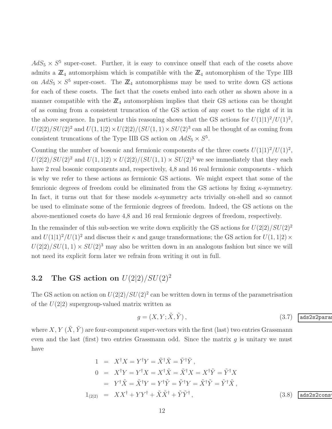$AdS_5 \times S^5$  super-coset. Further, it is easy to convince onself that each of the cosets above admits a  $\mathbb{Z}_4$  automorphism which is compatible with the  $\mathbb{Z}_4$  automorphism of the Type IIB on  $AdS_5 \times S^5$  super-coset. The  $\mathbb{Z}_4$  automorphisms may be used to write down GS actions for each of these cosets. The fact that the cosets embed into each other as shown above in a manner compatible with the  $\mathbb{Z}_4$  automorphism implies that their GS actions can be thought of as coming from a consistent truncation of the GS action of any coset to the right of it in the above sequence. In particular this reasoning shows that the GS actions for  $U(1|1)^2/U(1)^2$ ,  $U(2|2)/SU(2)^2$  and  $U(1, 1|2) \times U(2|2)/(SU(1, 1) \times SU(2)^3)$  can all be thought of as coming from consistent truncations of the Type IIB GS action on  $AdS_5 \times S^5$ .

Counting the number of bosonic and fermionic components of the three cosets  $U(1|1)^2/U(1)^2$ ,  $U(2|2)/SU(2)^2$  and  $U(1, 1|2) \times U(2|2)/(SU(1, 1) \times SU(2)^3)$  we see immediately that they each have 2 real bosonic components and, respectively, 4,8 and 16 real fermionic components - which is why we refer to these actions as fermionic GS actions. We might expect that some of the femrionic degrees of freedom could be eliminated from the GS actions by fixing  $\kappa$ -symmetry. In fact, it turns out that for these models κ-symmetry acts trivially on-shell and so cannot be used to eliminate some of the fermionic degrees of freedom. Indeed, the GS actions on the above-mentioned cosets do have 4,8 and 16 real fermionic degrees of freedom, respectively.

In the remainder of this sub-section we write down explicitly the GS actions for  $U(2|2)/SU(2)^2$ and  $U(1|1)^2/U(1)^2$  and discuss their  $\kappa$  and gauge transformations; the GS action for  $U(1, 1|2) \times$  $U(2|2)/SU(1, 1) \times SU(2)^3$  may also be written down in an analogous fashion but since we will not need its explicit form later we refrain from writing it out in full.

### **3.2** The GS action on  $U(2|2)/SU(2)^2$

The GS action on action on  $U(2|2)/SU(2)^2$  can be written down in terms of the parametrisation of the  $U(2|2)$  supergroup-valued matrix written as

<span id="page-12-0"></span>
$$
g = (X, Y; \tilde{X}, \tilde{Y}), \qquad (3.7)
$$
  $\boxed{\text{ads2s2para}}$ 

where X, Y  $(\tilde{X}, \tilde{Y})$  are four-component super-vectors with the first (last) two entries Grassmann even and the last (first) two entries Grassmann odd. Since the matrix  $q$  is unitary we must have

$$
1 = X^{\dagger}X = Y^{\dagger}Y = \tilde{X}^{\dagger}\tilde{X} = \tilde{Y}^{\dagger}\tilde{Y},
$$
  
\n
$$
0 = X^{\dagger}Y = Y^{\dagger}X = X^{\dagger}\tilde{X} = \tilde{X}^{\dagger}X = X^{\dagger}\tilde{Y} = \tilde{Y}^{\dagger}X
$$
  
\n
$$
= Y^{\dagger}\tilde{X} = \tilde{X}^{\dagger}Y = Y^{\dagger}\tilde{Y} = \tilde{Y}^{\dagger}Y = \tilde{X}^{\dagger}\tilde{Y} = \tilde{Y}^{\dagger}\tilde{X},
$$
  
\n
$$
1_{(2|2)} = XX^{\dagger} + YY^{\dagger} + \tilde{X}\tilde{X}^{\dagger} + \tilde{Y}\tilde{Y}^{\dagger},
$$
  
\n(3.8) ads2s2cons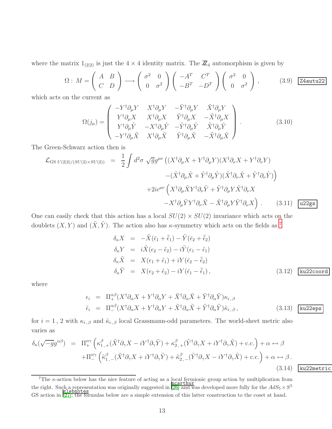where the matrix  $1_{(2|2)}$  is just the  $4 \times 4$  identity matrix. The  $\mathbb{Z}_4$  automorphism is given by

<span id="page-13-2"></span>
$$
\Omega: M = \begin{pmatrix} A & B \\ C & D \end{pmatrix} \longrightarrow \begin{pmatrix} \sigma^2 & 0 \\ 0 & \sigma^2 \end{pmatrix} \begin{pmatrix} -A^T & C^T \\ -B^T & -D^T \end{pmatrix} \begin{pmatrix} \sigma^2 & 0 \\ 0 & \sigma^2 \end{pmatrix}, \quad (3.9) \text{ Z4autu22}
$$

which acts on the current as

$$
\Omega(j_{\mu}) = \begin{pmatrix}\n-Y^{\dagger} \partial_{\mu} Y & X^{\dagger} \partial_{\mu} Y & -\tilde{Y}^{\dagger} \partial_{\mu} Y & \tilde{X}^{\dagger} \partial_{\mu} Y \\
Y^{\dagger} \partial_{\mu} X & X^{\dagger} \partial_{\mu} X & \tilde{Y}^{\dagger} \partial_{\mu} X & -\tilde{X}^{\dagger} \partial_{\mu} X \\
Y^{\dagger} \partial_{\mu} \tilde{Y} & -X^{\dagger} \partial_{\mu} \tilde{Y} & -\tilde{Y}^{\dagger} \partial_{\mu} \tilde{Y} & \tilde{X}^{\dagger} \partial_{\mu} \tilde{Y} \\
-Y^{\dagger} \partial_{\mu} \tilde{X} & X^{\dagger} \partial_{\mu} \tilde{X} & \tilde{Y}^{\dagger} \partial_{\mu} \tilde{X} & -\tilde{X}^{\dagger} \partial_{\mu} \tilde{X}\n\end{pmatrix}.
$$
\n(3.10)

The Green-Schwarz action then is

<span id="page-13-1"></span>
$$
\mathcal{L}_{\text{GS }U(2|2)/(SU(2)\times SU(2))} = \frac{1}{2} \int d^2 \sigma \sqrt{g} g^{\mu\nu} \left( (X^{\dagger} \partial_{\mu} X + Y^{\dagger} \partial_{\mu} Y)(X^{\dagger} \partial_{\nu} X + Y^{\dagger} \partial_{\nu} Y) - (\tilde{X}^{\dagger} \partial_{\mu} \tilde{X} + \tilde{Y}^{\dagger} \partial_{\mu} \tilde{Y})(\tilde{X}^{\dagger} \partial_{\nu} \tilde{X} + \tilde{Y}^{\dagger} \partial_{\nu} \tilde{Y}) \right) \n+ 2i \epsilon^{\mu\nu} \left( X^{\dagger} \partial_{\mu} \tilde{X} Y^{\dagger} \partial_{\nu} \tilde{Y} + \tilde{Y}^{\dagger} \partial_{\mu} Y \tilde{X}^{\dagger} \partial_{\nu} X - X^{\dagger} \partial_{\mu} \tilde{Y} Y^{\dagger} \partial_{\nu} \tilde{X} - \tilde{X}^{\dagger} \partial_{\mu} Y \tilde{Y}^{\dagger} \partial_{\nu} X \right).
$$
\n(3.11) 
$$
\boxed{\text{u22gs}}
$$

One can easily check that this action has a local  $SU(2) \times SU(2)$  invariance which acts on the doublets  $(X, Y)$  and  $(\tilde{X}, \tilde{Y})$ . The action also has  $\kappa$ -symmetry which acts on the fields as <sup>[7](#page-13-0)</sup>

<span id="page-13-3"></span>
$$
\delta_{\kappa} X = -\tilde{X}(\bar{\epsilon}_{1} + \bar{\tilde{\epsilon}}_{1}) - \tilde{Y}(\bar{\epsilon}_{2} + \bar{\tilde{\epsilon}}_{2})
$$
\n
$$
\delta_{\kappa} Y = i\tilde{X}(\epsilon_{2} - \tilde{\epsilon}_{2}) - i\tilde{Y}(\epsilon_{1} - \tilde{\epsilon}_{1})
$$
\n
$$
\delta_{\kappa} \tilde{X} = X(\epsilon_{1} + \tilde{\epsilon}_{1}) + iY(\bar{\epsilon}_{2} - \bar{\tilde{\epsilon}}_{2})
$$
\n
$$
\delta_{\kappa} \tilde{Y} = X(\epsilon_{2} + \tilde{\epsilon}_{2}) - iY(\bar{\epsilon}_{1} - \bar{\tilde{\epsilon}}_{1}),
$$
\n(3.12) ku22coord

ku22metric

where

<span id="page-13-5"></span>
$$
\epsilon_i = \Pi_+^{\alpha\beta} (X^\dagger \partial_\alpha X + Y^\dagger \partial_\alpha Y + \tilde{X}^\dagger \partial_\alpha \tilde{X} + \tilde{Y}^\dagger \partial_\alpha \tilde{Y}) \kappa_{i,\beta}
$$
\n
$$
\tilde{\epsilon}_i = \Pi_-^{\alpha\beta} (X^\dagger \partial_\alpha X + Y^\dagger \partial_\alpha Y + \tilde{X}^\dagger \partial_\alpha \tilde{X} + \tilde{Y}^\dagger \partial_\alpha \tilde{Y}) \tilde{\kappa}_{i,\beta},
$$
\n(3.13) **ku22eps**

for  $i = 1$ , 2 with  $\kappa_{i,\beta}$  and  $\tilde{\kappa}_{i,\beta}$  local Grassmann-odd parameters. The world-sheet metric also varies as

<span id="page-13-4"></span>
$$
\delta_{\kappa}(\sqrt{-g}g^{\alpha\beta}) = \Pi_{+}^{\alpha\gamma} \left( \kappa_{1,+}^{\beta} (\tilde{X}^{\dagger}\partial_{\gamma}X - iY^{\dagger}\partial_{\gamma}\tilde{Y}) + \kappa_{2,+}^{\beta} (\tilde{Y}^{\dagger}\partial_{\gamma}X + iY^{\dagger}\partial_{\gamma}\tilde{X}) + \text{c.c.} \right) + \alpha \leftrightarrow \beta
$$
  
 
$$
+ \Pi_{-}^{\alpha\gamma} \left( \tilde{\kappa}_{1,-}^{\beta} (\tilde{X}^{\dagger}\partial_{\gamma}X + iY^{\dagger}\partial_{\gamma}\tilde{Y}) + \tilde{\kappa}_{2,-}^{\beta} (\tilde{Y}^{\dagger}\partial_{\gamma}X - iY^{\dagger}\partial_{\gamma}\tilde{X}) + \text{c.c.} \right) + \alpha \leftrightarrow \beta.
$$
\n(3.14)

<span id="page-13-0"></span><sup>7</sup>The  $\kappa$ -action below has the nice feature of acting as a local fermionic group action by multiplication from the right. Such a representation was originally suggested in  $\frac{\text{ncart in}}{26}$  and was developed more fully for the  $AdS_5 \times S^5$ GS action in [\[27\]](#page-42-5); the formulas below are a simple extension of this latter construction to the coset at hand.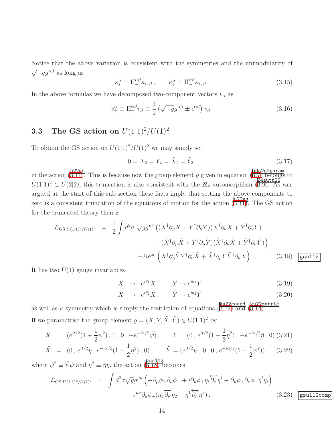Notice that the above variation is consistent with the symmetries and the unimodularity of  $\sqrt{-g}g^{\alpha\beta}$  as long as

$$
\kappa_i^{\alpha} = \Pi_+^{\alpha\beta} \kappa_{i,\beta}, \qquad \tilde{\kappa}_i^{\alpha} = \Pi_-^{\alpha\beta} \tilde{\kappa}_{i,\beta}.
$$
\n(3.15)

In the above formulas we have decomposed two-component vectors  $v_{\alpha}$  as

$$
v_{\pm}^{\alpha} \equiv \Pi_{\pm}^{\alpha\beta} v_{\beta} \equiv \frac{1}{2} \left( \sqrt{-g} g^{\alpha\beta} \pm \epsilon^{\alpha\beta} \right) v_{\beta} . \tag{3.16}
$$

### **3.3** The GS action on  $U(1|1)^2/U(1)^2$

To obtain the GS action on  $U(1|1)^2/U(1)^2$  we may simply set

$$
0 = X_3 = Y_4 = \tilde{X}_1 = \tilde{Y}_2. \tag{3.17}
$$

in the action (B.II). This is because now the group element g given in equation ( $\frac{\text{ads2s2param}}{(3.7)}$  $\frac{\text{ads2s2param}}{(3.7)}$  $\frac{\text{ads2s2param}}{(3.7)}$  belongs to  $U(1|1)^2 \subset U(2|2)$ ; this truncation is also consistent with the  $\mathbb{Z}_4$  automorphism ([3.9\)](#page-13-2). As was argued at the start of this sub-section these facts imply that setting the above components to zero is a consistent truncation of the equations of motion for the action  $(3.11)$  $(3.11)$ . The GS action for the truncated theory then is

<span id="page-14-0"></span>
$$
\mathcal{L}_{\text{GS }U(1|1)^2/U(1)^2} = \frac{1}{2} \int d^2 \sigma \sqrt{g} g^{\mu\nu} \left( (X^{\dagger} \partial_{\mu} X + Y^{\dagger} \partial_{\mu} Y)(X^{\dagger} \partial_{\nu} X + Y^{\dagger} \partial_{\nu} Y) - (\tilde{X}^{\dagger} \partial_{\mu} \tilde{X} + \tilde{Y}^{\dagger} \partial_{\mu} \tilde{Y})(\tilde{X}^{\dagger} \partial_{\nu} \tilde{X} + \tilde{Y}^{\dagger} \partial_{\nu} \tilde{Y}) \right) - 2i \epsilon^{\mu\nu} \left( X^{\dagger} \partial_{\mu} \tilde{Y} Y^{\dagger} \partial_{\nu} \tilde{X} + \tilde{X}^{\dagger} \partial_{\mu} Y \tilde{Y}^{\dagger} \partial_{\nu} X \right) . \tag{3.18}
$$

It has two  $U(1)$  gauge invariances

$$
X \to e^{i\theta_1} X, \qquad Y \to e^{i\theta_1} Y, \tag{3.19}
$$

$$
\tilde{X} \rightarrow e^{i\theta_2} \tilde{X}, \qquad \tilde{Y} \rightarrow e^{i\theta_2} \tilde{Y}, \qquad (3.20)
$$

as well as  $\kappa$ -symmetry which is simply the restriction of equations  $(\overline{3.12})$  and  $(\overline{3.14})$ . If we parametrise the group element  $g = (X, Y, \tilde{X}, \tilde{Y}) \in U(1|1)^2$  by

$$
X = (e^{it/2}(1 + \frac{1}{2}\psi^2), 0, 0, -e^{-i\alpha/2}\bar{\psi}), \qquad Y = (0, e^{it/2}(1 + \frac{1}{2}\eta^2), -e^{-i\alpha/2}\bar{\eta}, 0)
$$
(3.21)  

$$
\tilde{X} = (0, e^{it/2}\eta, e^{-i\alpha/2}(1 - \frac{1}{2}\eta^2), 0), \qquad \tilde{Y} = (e^{it/2}\psi, 0, 0, e^{-i\alpha/2}(1 - \frac{1}{2}\psi^2)), \qquad (3.22)
$$

where  $\psi^2 \equiv \bar{\psi}\psi$  and  $\eta^2 \equiv \bar{\eta}\eta$ , the action ([3.18\)](#page-14-0) becomes

<span id="page-14-1"></span>
$$
\mathcal{L}_{\text{GS }U(1|1)^2/U(1)^2} = \int d^2 \sigma \sqrt{g} g^{\mu\nu} \left( -\partial_{\mu} \phi_{+} \partial_{\nu} \phi_{-} + i \partial_{\mu} \phi_{+} \eta_{i} \overleftrightarrow{\partial_{\nu}} \eta^{i} - \partial_{\mu} \phi_{+} \partial_{\nu} \phi_{+} \eta^{i} \eta_{i} \right) - \epsilon^{\mu\nu} \partial_{\mu} \phi_{+} (\eta_{1} \overleftrightarrow{\partial_{\nu}} \eta_{2} - \eta^{1} \overleftrightarrow{\partial_{\nu}} \eta^{2}), \qquad (3.23)
$$
 [gsu112comp]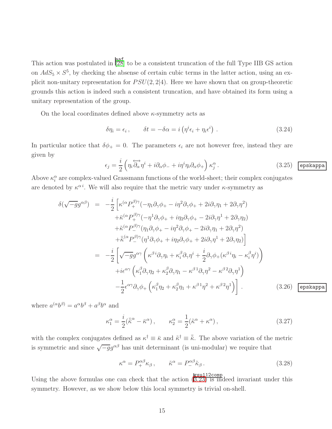This action was postulated in  $\frac{|\text{aaf}|}{[28]}$  $\frac{|\text{aaf}|}{[28]}$  $\frac{|\text{aaf}|}{[28]}$  to be a consistent truncation of the full Type IIB GS action on  $AdS_5 \times S^5$ , by checking the absense of certain cubic terms in the latter action, using an explicit non-unitary representation for  $PSU(2, 2|4)$ . Here we have shown that on group-theoretic grounds this action is indeed such a consistent truncation, and have obtained its form using a unitary representation of the group.

On the local coordinates defined above  $\kappa$ -symmetry acts as

$$
\delta \eta_i = \epsilon_i, \qquad \delta t = -\delta \alpha = i \left( \eta^i \epsilon_i + \eta_i \epsilon^i \right). \tag{3.24}
$$

In particular notice that  $\delta \phi_+ = 0$ . The parameters  $\epsilon_i$  are not however free, instead they are given by

$$
\epsilon_j = \frac{i}{2} \left( \eta_i \overleftrightarrow{\partial_\alpha} \eta^i + i \partial_\alpha \phi_- + i \eta^i \eta_i \partial_\alpha \phi_+ \right) \kappa_j^\alpha. \tag{3.25}
$$
  $\boxed{\text{epskappa}}.$ 

Above  $\kappa_i^{\alpha}$  are complex-valued Grassmann functions of the world-sheet; their complex conjugates are denoted by  $\kappa^{\alpha i}$ . We will also require that the metric vary under  $\kappa$ -symmetry as

$$
\delta(\sqrt{-g}g^{\alpha\beta}) = -\frac{i}{2} \left[ \kappa^{(\alpha}P_{+}^{\beta)\gamma}(-\eta_{1}\partial_{\gamma}\phi_{+} - i\eta^{2}\partial_{\gamma}\phi_{+} + 2i\partial_{\gamma}\eta_{1} + 2\partial_{\gamma}\eta^{2}) \right. \left. + \bar{\kappa}^{(\alpha}P_{+}^{\beta)\gamma}(-\eta^{1}\partial_{\gamma}\phi_{+} + i\eta_{2}\partial_{\gamma}\phi_{+} - 2i\partial_{\gamma}\eta^{1} + 2\partial_{\gamma}\eta_{2}) \right. \left. + \tilde{\kappa}^{(\alpha}P_{-}^{\beta)\gamma}(\eta_{1}\partial_{\gamma}\phi_{+} - i\eta^{2}\partial_{\gamma}\phi_{+} - 2i\partial_{\gamma}\eta_{1} + 2\partial_{\gamma}\eta^{2}) \right. \left. + \bar{\kappa}^{(\alpha}P_{-}^{\beta)\gamma}(\eta^{1}\partial_{\gamma}\phi_{+} + i\eta_{2}\partial_{\gamma}\phi_{+} + 2i\partial_{\gamma}\eta^{1} + 2\partial_{\gamma}\eta_{2}) \right] \n= -\frac{i}{2} \left[ \sqrt{-g}g^{\alpha\gamma} \left( \kappa^{\beta}i\partial_{\gamma}\eta_{i} + \kappa_{i}^{\beta}\partial_{\gamma}\eta^{i} + \frac{i}{2}\partial_{\gamma}\phi_{+}(\kappa^{\beta}i\eta_{i} - \kappa_{i}^{\beta}\eta^{i}) \right) \right. \left. + i\epsilon^{\alpha\gamma} \left( \kappa_{1}^{\beta}\partial_{\gamma}\eta_{2} + \kappa_{2}^{\beta}\partial_{\gamma}\eta_{1} - \kappa^{\beta}i\partial_{\gamma}\eta^{2} - \kappa^{\beta}i\partial_{\gamma}\eta^{1} \right) \right] \n- \frac{1}{2} \epsilon^{\alpha\gamma} \partial_{\gamma}\phi_{+} \left( \kappa_{1}^{\beta}\eta_{2} + \kappa_{2}^{\beta}\eta_{1} + \kappa^{\beta}i\eta^{2} + \kappa^{\beta}i\eta^{1} \right) . \tag{3.26}
$$
  $\boxed{\text{epskappa}}{\text{epsk}}{\text{epsk}}{\text{epsk}}{\text{epsk}}{\text{epsk}}{\text{epsk}}{\text{epsk}}{\text{epsk}}{\text{epsk$ 

where  $a^{(\alpha}b^{\beta)} = a^{\alpha}b^{\beta} + a^{\beta}b^{\alpha}$  and

$$
\kappa_1^{\alpha} = \frac{i}{2} (\tilde{\kappa}^{\alpha} - \bar{\kappa}^{\alpha}), \qquad \kappa_2^{\alpha} = \frac{1}{2} (\tilde{\kappa}^{\alpha} + \kappa^{\alpha}), \qquad (3.27)
$$

with the complex conjugates defined as  $\kappa^{\dagger} \equiv \bar{\kappa}$  and  $\tilde{\kappa}^{\dagger} \equiv \bar{\tilde{\kappa}}$ . The above variation of the metric is symmetric and since  $\sqrt{-g}g^{\alpha\beta}$  has unit determinant (is uni-modular) we require that

$$
\kappa^{\alpha} = P_{+}^{\alpha\beta}\kappa_{\beta} , \qquad \tilde{\kappa}^{\alpha} = P_{-}^{\alpha\beta}\tilde{\kappa}_{\beta} . \tag{3.28}
$$

Using the above formulas one can check that the action  $(3.23)$  $(3.23)$  is indeed invariant under this symmetry. However, as we show below this local symmetry is trivial on-shell.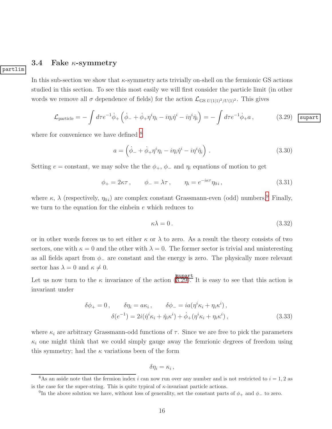#### <span id="page-16-3"></span>3.4 Fake  $\kappa$ -symmetry

partlim

In this sub-section we show that  $\kappa$ -symmetry acts trivially on-shell on the fermionic GS actions studied in this section. To see this most easily we will first consider the particle limit (in other words we remove all  $\sigma$  dependence of fields) for the action  $\mathcal{L}_{GS U(1|1)^2/U(1)^2}$ . This gives

<span id="page-16-2"></span>
$$
\mathcal{L}_{\text{particle}} = -\int d\tau e^{-1} \dot{\phi}_{+} \left( \dot{\phi}_{-} + \dot{\phi}_{+} \eta^{i} \eta_{i} - i \eta_{i} \dot{\eta}^{i} - i \eta^{i} \dot{\eta}_{i} \right) = -\int d\tau e^{-1} \dot{\phi}_{+} a \,, \tag{3.29}
$$

where for convenience we have defined  $8$ 

$$
a = \left(\dot{\phi}_- + \dot{\phi}_+ \eta^i \eta_i - i \eta_i \dot{\eta}^i - i \eta^i \dot{\eta}_i\right). \tag{3.30}
$$

Setting  $e =$  constant, we may solve the the  $\phi_+$ ,  $\phi_-$  and  $\eta_i$  equations of motion to get

$$
\phi_+ = 2\kappa\tau \,, \qquad \phi_- = \lambda\tau \,, \qquad \eta_i = e^{-i\kappa\tau} \eta_{0i} \,, \tag{3.31}
$$

where  $\kappa$ ,  $\lambda$  (respectively,  $\eta_{0i}$ ) are complex constant Grassmann-even (odd) numbers.<sup>[9](#page-16-1)</sup> Finally, we turn to the equation for the einbein e which reduces to

$$
\kappa \lambda = 0. \tag{3.32}
$$

or in other words forces us to set either  $\kappa$  or  $\lambda$  to zero. As a result the theory consists of two sectors, one with  $\kappa = 0$  and the other with  $\lambda = 0$ . The former sector is trivial and uninteresting as all fields apart from  $\phi$  are constant and the energy is zero. The physically more relevant sector has  $\lambda = 0$  and  $\kappa \neq 0$ .

Let us now turn to the  $\kappa$  invariance of the action ([3.29\)](#page-16-2). It is easy to see that this action is invariant under

$$
\delta\phi_{+} = 0, \qquad \delta\eta_{i} = a\kappa_{i}, \qquad \delta\phi_{-} = ia(\eta^{i}\kappa_{i} + \eta_{i}\kappa^{i}),
$$

$$
\delta(e^{-1}) = 2i(\dot{\eta}^{i}\kappa_{i} + \dot{\eta}_{i}\kappa^{i}) + \dot{\phi}_{+}(\eta^{i}\kappa_{i} + \eta_{i}\kappa^{i}), \qquad (3.33)
$$

where  $\kappa_i$  are arbitrary Grassmann-odd functions of  $\tau$ . Since we are free to pick the parameters  $\kappa_i$  one might think that we could simply gauge away the femrionic degrees of freedom using this symmetry; had the  $\kappa$  variations been of the form

$$
\delta \eta_i = \kappa_i \,,
$$

<sup>&</sup>lt;sup>8</sup>As an aside note that the fermion index i can now run over any number and is not restricted to  $i = 1, 2$  as is the case for the super-string. This is quite typical of  $\kappa$ -invariant particle actions.

<span id="page-16-1"></span><span id="page-16-0"></span><sup>&</sup>lt;sup>9</sup>In the above solution we have, without loss of generality, set the constant parts of  $\phi_+$  and  $\phi_-$  to zero.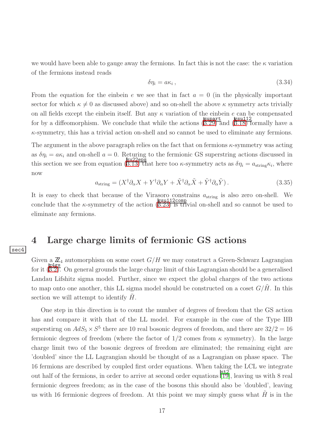we would have been able to gauge away the fermions. In fact this is not the case: the  $\kappa$  variation of the fermions instead reads

$$
\delta \eta_i = a \kappa_i \,, \tag{3.34}
$$

From the equation for the einbein e we see that in fact  $a = 0$  (in the physically important sector for which  $\kappa \neq 0$  as discussed above) and so on-shell the above  $\kappa$  symmetry acts trivially on all fields except the einbein itself. But any  $\kappa$  variation of the einbein e can be compensated for by a diffeomorphism. We conclude that while the actions  $(\overline{3.29)}$  $(\overline{3.29)}$  $(\overline{3.29)}$  and  $(\overline{3.18})$  formally have a  $\kappa$ -symmetry, this has a trivial action on-shell and so cannot be used to eliminate any fermions.

The argument in the above paragraph relies on the fact that on fermions  $\kappa$ -symmetry was acting as  $\delta \eta_i = a \kappa_i$  and on-shell  $a = 0$ . Returning to the fermionic GS superstring actions discussed in this section we see from equation  $(\overline{3.13})$  that here too  $\kappa$ -symmetry acts as  $\delta \eta_i = a_{\text{string}} \kappa_i$ , where now

$$
a_{\text{string}} = (X^{\dagger} \partial_{\alpha} X + Y^{\dagger} \partial_{\alpha} Y + \tilde{X}^{\dagger} \partial_{\alpha} \tilde{X} + \tilde{Y}^{\dagger} \partial_{\alpha} \tilde{Y}). \tag{3.35}
$$

It is easy to check that because of the Virasoro constrains  $a_{\text{string}}$  is also zero on-shell. We conclude that the  $\kappa$ -symmetry of the action  $(3.23)$  $(3.23)$  is trivial on-shell and so cannot be used to eliminate any fermions.

### <span id="page-17-0"></span>4 Large charge limits of fermionic GS actions

sec4

Given a  $\mathbb{Z}_4$  automorphism on some coset  $G/H$  we may construct a Green-Schwarz Lagrangian for it  $(\frac{24gs}{3.2})$ . On general grounds the large charge limit of this Lagrangian should be a generalised Landau Lifshitz sigma model. Further, since we expect the global charges of the two actions to map onto one another, this LL sigma model should be constructed on a coset  $G/H$ . In this section we will attempt to identify  $H$ .

One step in this direction is to count the number of degrees of freedom that the GS action has and compare it with that of the LL model. For example in the case of the Type IIB superstirng on  $AdS_5 \times S^5$  there are 10 real bosonic degrees of freedom, and there are  $32/2 = 16$ fermionic degrees of freedom (where the factor of  $1/2$  comes from  $\kappa$  symmetry). In the large charge limit two of the bosonic degrees of freedom are eliminated; the remaining eight are 'doubled' since the LL Lagrangian should be thought of as a Lagrangian on phase space. The 16 fermions are described by coupled first order equations. When taking the LCL we integrate out half of the fermions, in order to arrive at second order equations  $\begin{bmatrix} \mathsf{st2} \\ \mathsf{19} \end{bmatrix}$ , leaving us with 8 real fermionic degrees freedom; as in the case of the bosons this should also be 'doubled', leaving us with 16 fermionic degrees of freedom. At this point we may simply guess what  $H$  is in the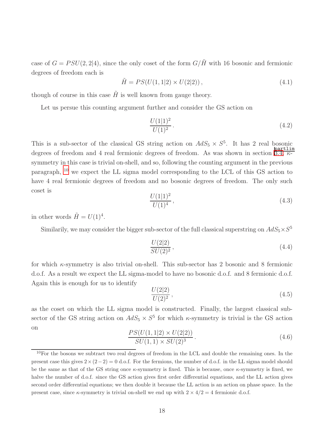case of  $G = PSU(2, 2|4)$ , since the only coset of the form  $G/\tilde{H}$  with 16 bosonic and fermionic degrees of freedom each is

$$
\tilde{H} = PS(U(1, 1|2) \times U(2|2)), \qquad (4.1)
$$

though of course in this case  $H$  is well known from gauge theory.

Let us persue this counting argument further and consider the GS action on

$$
\frac{U(1|1)^2}{U(1)^2}.
$$
\n(4.2)

This is a sub-sector of the classical GS string action on  $AdS_5 \times S^5$ . It has 2 real bosonic degrees of freedom and 4 real fermionic degrees of freedom. As was shown in section [3.4,](#page-16-3) κsymmetry in this case is trivial on-shell, and so, following the counting argument in the previous paragraph, [10](#page-18-0) we expect the LL sigma model corresponding to the LCL of this GS action to have 4 real fermionic degrees of freedom and no bosonic degrees of freedom. The only such coset is

$$
\frac{U(1|1)^2}{U(1)^4},\tag{4.3}
$$

in other words  $\tilde{H} = U(1)^4$ .

Similarily, we may consider the bigger sub-sector of the full classical superstring on  $AdS_5 \times S^5$ 

$$
\frac{U(2|2)}{SU(2)^2},\tag{4.4}
$$

for which  $\kappa$ -symmetry is also trivial on-shell. This sub-sector has 2 bosonic and 8 fermionic d.o.f. As a result we expect the LL sigma-model to have no bosonic d.o.f. and 8 fermionic d.o.f. Again this is enough for us to identify

$$
\frac{U(2|2)}{U(2)^2},\tag{4.5}
$$

as the coset on which the LL sigma model is constructed. Finally, the largest classical subsector of the GS string action on  $AdS_5 \times S^5$  for which  $\kappa$ -symmetry is trivial is the GS action on

$$
\frac{PS(U(1,1|2) \times U(2|2))}{SU(1,1) \times SU(2)^3}.
$$
\n(4.6)

<span id="page-18-0"></span> $10$ For the bosons we subtract two real degrees of freedom in the LCL and double the remaining ones. In the present case this gives  $2\times(2-2)=0$  d.o.f. For the fermions, the number of d.o.f. in the LL sigma model should be the same as that of the GS string once  $\kappa$ -symmetry is fixed. This is because, once  $\kappa$ -symmetry is fixed, we halve the number of d.o.f. since the GS action gives first order differential equations, and the LL action gives second order differential equations; we then double it because the LL action is an action on phase space. In the present case, since  $\kappa$ -symmetry is trivial on-shell we end up with  $2 \times 4/2 = 4$  fermionic d.o.f.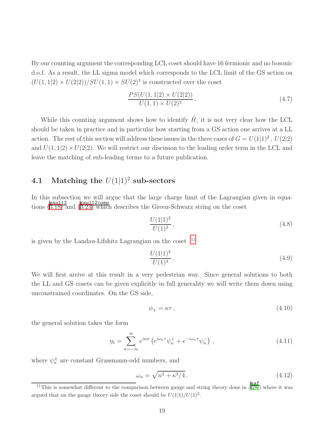By our counting argument the corresponding LCL coset should have 16 fermionic and no bosonic d.o.f. As a result, the LL sigma model which corresponds to the LCL limit of the GS action on  $(U(1, 1|2) \times U(2|2))/SU(1, 1) \times SU(2)^3$  is constructed over the coset

$$
\frac{PS(U(1,1|2) \times U(2|2))}{U(1,1) \times U(2)^3}.
$$
\n(4.7)

While this counting argument shows how to identify  $H$ , it is not very clear how the LCL should be taken in practice and in particular how starting from a GS action one arrives at a LL action. The rest of this section will address these issues in the three cases of  $G = U(1|1)^2$ ,  $U(2|2)$ and  $U(1, 1|2) \times U(2|2)$ . We will restrict our discussion to the leading order term in the LCL and leave the matching of sub-leading terms to a future publication.

## **4.1** Matching the  $U(1|1)^2$  sub-sectors

In this subsection we will argue that the large charge limit of the Lagrangian given in equations  $(\overline{B.18})$  and  $(\overline{B.23})$  which describes the Green-Schwarz string on the coset

$$
\frac{U(1|1)^2}{U(1)^2},\tag{4.8}
$$

is given by the Landau-Lifshitz Lagrangian on the coset  $11$ 

$$
\frac{U(1|1)^2}{U(1)^4}.
$$
\n(4.9)

We will first arrive at this result in a very pedestrian way. Since general solutions to both the LL and GS cosets can be given explicitly in full generality we will write them down using unconstrained coordinates. On the GS side,

$$
\phi_+ = \kappa \tau \,,\tag{4.10}
$$

the general solution takes the form

$$
\eta_1 = \sum_{n=-\infty}^{\infty} e^{in\sigma} \left( e^{i\omega_n \tau} \psi_n^+ + e^{-i\omega_n \tau} \psi_n^- \right), \qquad (4.11)
$$

where  $\psi_n^{\pm}$  are constant Grassmann-odd numbers, and

$$
\omega_n = \sqrt{n^2 + \kappa^2/4} \,. \tag{4.12}
$$

<span id="page-19-0"></span><sup>&</sup>lt;sup>11</sup>This is somewhat different to the comparison between gauge and string theory done in  $\frac{|\text{aaf}|}{|28|}$  where it was argued that on the gauge theory side the coset should be  $U(1|1)/U(1)^2$ .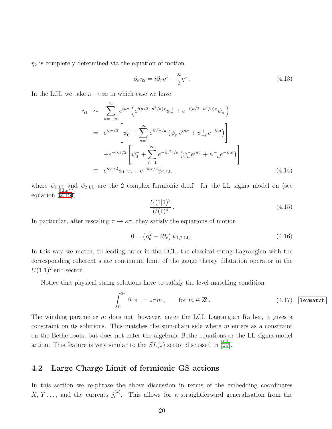$\eta_2$  is completely determined via the equation of motion

$$
\partial_{\sigma} \eta_2 = i \partial_{\tau} \eta^1 - \frac{\kappa}{2} \eta^1. \tag{4.13}
$$

In the LCL we take  $\kappa \to \infty$  in which case we have

$$
\eta_1 \sim \sum_{n=-\infty}^{\infty} e^{in\sigma} \left( e^{i(\kappa/2 + n^2/\kappa)\tau} \psi_n^+ + e^{-i(\kappa/2 + n^2/\kappa)\tau} \psi_n^- \right)
$$
  
\n
$$
= e^{i\kappa\tau/2} \left[ \psi_0^+ + \sum_{n=1}^{\infty} e^{in^2\tau/\kappa} \left( \psi_n^+ e^{in\sigma} + \psi_{-n}^+ e^{-in\sigma} \right) \right]
$$
  
\n
$$
+ e^{-i\kappa\tau/2} \left[ \psi_0^- + \sum_{n=1}^{\infty} e^{-in^2\tau/\kappa} \left( \psi_n^- e^{in\sigma} + \psi_{-n}^- e^{-in\sigma} \right) \right]
$$
  
\n
$$
\equiv e^{i\kappa\tau/2} \psi_1 \mathop{\rm LL} + e^{-i\kappa\tau/2} \bar{\psi}_2 \mathop{\rm LL} , \tag{4.14}
$$

where  $\psi_1$ <sub>LL</sub> and  $\psi_2$ <sub>LL</sub> are the 2 complex fermionic d.o.f. for the LL sigma model on (see equation  $(\overline{2.15})$ 

$$
\frac{U(1|1)^2}{U(1)^4}.
$$
\n(4.15)

In particular, after rescaling  $\tau \to \kappa \tau$ , they satisfy the equations of motion

$$
0 = \left(\partial_{\sigma}^{2} - i\partial_{\tau}\right)\psi_{1,2 \,\mathrm{LL}}\,. \tag{4.16}
$$

In this way we match, to leading order in the LCL, the classical string Lagrangian with the corresponding coherent state continuum limit of the gauge theory dilatation operator in the  $U(1|1)^2$  sub-sector.

Notice that physical string solutions have to satisfy the level-matching condition

<span id="page-20-0"></span>
$$
\int_0^{2\pi} \partial_1 \phi_- = 2\pi m \,, \qquad \text{for } m \in \mathbb{Z} \,. \tag{4.17}
$$
 *Levmatch*

The winding parameter m does not, however, enter the LCL Lagrangian Rather, it gives a constraint on its solutions. This matches the spin-chain side where  $m$  enters as a constraint on the Bethe roots, but does not enter the algebraic Bethe equations or the LL sigma-model action. This feature is very similar to the  $SL(2)$  sector discussed in [\[29\]](#page-42-6).

### 4.2 Large Charge Limit of fermionic GS actions

In this section we re-phrase the above discussion in terms of the embedding coordinates X, Y..., and the currents  $j_{\mu}^{(k)}$ . This allows for a straightforward generalisation from the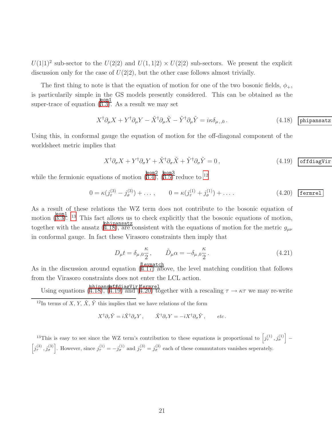$U(1|1)^2$  sub-sector to the  $U(2|2)$  and  $U(1, 1|2) \times U(2|2)$  sub-sectors. We present the explicit discussion only for the case of  $U(2|2)$ , but the other case follows almost trivially.

The first thing to note is that the equation of motion for one of the two bosonic fields,  $\phi_+$ , is particularily simple in the GS models presently considered. This can be obtained as the super-trace of equation  $\sqrt{\frac{\text{eom1}}{3.3}}$ . As a result we may set

<span id="page-21-2"></span>
$$
X^{\dagger} \partial_{\mu} X + Y^{\dagger} \partial_{\mu} Y - \tilde{X}^{\dagger} \partial_{\mu} \tilde{X} - \tilde{Y}^{\dagger} \partial_{\mu} \tilde{Y} = i\kappa \delta_{\mu,,0}.
$$
 (4.18) phi

Using this, in conformal gauge the equation of motion for the off-diagonal component of the worldsheet metric implies that

<span id="page-21-3"></span>
$$
X^{\dagger} \partial_{\sigma} X + Y^{\dagger} \partial_{\sigma} Y + \tilde{X}^{\dagger} \partial_{\sigma} \tilde{X} + \tilde{Y}^{\dagger} \partial_{\sigma} \tilde{Y} = 0, \qquad (4.19)
$$
 **offdiagVir**

while the fermionic equations of motion  $\left(\frac{\text{eom2}}{3.4}\right)$ ,  $\left(\frac{\text{eom3}}{3.5}\right)$  reduce to <sup>[12](#page-21-0)</sup>

$$
0 = \kappa(j_{\tau}^{(3)} - j_{\sigma}^{(3)}) + \dots, \qquad 0 = \kappa(j_{\tau}^{(1)} + j_{\sigma}^{(1)}) + \dots \tag{4.20} \text{fermrel}
$$

As a result of these relations the WZ term does not contribute to the bosonic equation of motion  $(3.3)$  $(3.3)$ . <sup>[13](#page-21-1)</sup> This fact allows us to check explicitly that the bosonic equations of motion, together with the ansatz  $(\overline{4.18})$ , are consistent with the equations of motion for the metric  $g_{\mu\nu}$ in conformal gauge. In fact these Virasoro constraints then imply that

$$
D_{\mu}t = \delta_{\mu,0}\frac{\kappa}{2}, \qquad \tilde{D}_{\mu}\alpha = -\delta_{\mu,0}\frac{\kappa}{2}.
$$
 (4.21)

As in the discussion around equation  $(\frac{\text{leumatch}}{(4.17) \text{ above}})$  $(\frac{\text{leumatch}}{(4.17) \text{ above}})$  $(\frac{\text{leumatch}}{(4.17) \text{ above}})$ , the level matching condition that follows from the Virasoro constraints does not enter the LCL action.

Using equations ( $\frac{\text{phipans\texttt{defined}}}{(4.18)}$  $\frac{\text{phipans\texttt{defined}}}{(4.18)}$  $\frac{\text{phipans\texttt{defined}}}{(4.18)}$ ,  $\frac{\text{phipans\texttt{defined}}}{(4.19)}$  $\frac{\text{phipans\texttt{defined}}}{(4.19)}$  $\frac{\text{phipans\texttt{defined}}}{(4.19)}$  and  $\frac{\text{deformel}}{4.20}$  together with a rescaling  $\tau \to \kappa \tau$  we may re-write

<span id="page-21-0"></span><sup>12</sup>In terms of X, Y,  $\tilde{X}$ ,  $\tilde{Y}$  this implies that we have relations of the form

<span id="page-21-4"></span> $X^{\dagger} \partial_{\tau} \tilde{Y} = i \tilde{X}^{\dagger} \partial_{\sigma} Y \, , \qquad \tilde{X}^{\dagger} \partial_{\tau} Y = -i X^{\dagger} \partial_{\sigma} \tilde{Y} \, , \qquad etc.$ 

<span id="page-21-1"></span><sup>13</sup>This is easy to see since the WZ term's contribution to these equations is proportional to  $\left[j^{(1)}_{\tau}, j^{(1)}_{\sigma}\right]$  –  $\left[j_{\tau}^{(3)}, j_{\sigma}^{(3)}\right]$ . However, since  $j_{\tau}^{(1)} = -j_{\sigma}^{(1)}$  and  $j_{\tau}^{(3)} = j_{\sigma}^{(3)}$  each of these commutators vanishes seperately.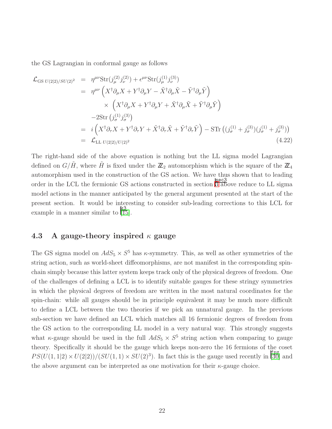the GS Lagrangian in conformal gauge as follows

$$
\mathcal{L}_{\text{GS }U(2|2)/SU(2)^2} = \eta^{\mu\nu} \text{Str}(j_{\mu}^{(2)} j_{\nu}^{(2)}) + \epsilon^{\mu\nu} \text{Str}(j_{\mu}^{(1)} j_{\nu}^{(3)}) \n= \eta^{\mu\nu} \left( X^{\dagger} \partial_{\mu} X + Y^{\dagger} \partial_{\mu} Y - \tilde{X}^{\dagger} \partial_{\mu} \tilde{X} - \tilde{Y}^{\dagger} \partial_{\mu} \tilde{Y} \right) \n\times \left( X^{\dagger} \partial_{\mu} X + Y^{\dagger} \partial_{\mu} Y + \tilde{X}^{\dagger} \partial_{\mu} \tilde{X} + \tilde{Y}^{\dagger} \partial_{\mu} \tilde{Y} \right) \n-2 \text{Str } (j_{\sigma}^{(1)} j_{\sigma}^{(3)}) \n= i \left( X^{\dagger} \partial_{\tau} X + Y^{\dagger} \partial_{\tau} Y + \tilde{X}^{\dagger} \partial_{\tau} \tilde{X} + \tilde{Y}^{\dagger} \partial_{\tau} \tilde{Y} \right) - \text{STr } ((j_{\sigma}^{(1)} + j_{\sigma}^{(3)}) (j_{\sigma}^{(1)} + j_{\sigma}^{(3)})) \n= \mathcal{L}_{\text{LL } U(2|2)/U(2)^2}
$$
\n(4.22)

The right-hand side of the above equation is nothing but the LL sigma model Lagrangian defined on  $G/\tilde{H}$ , where  $\tilde{H}$  is fixed under the  $\mathbb{Z}_2$  automorphism which is the square of the  $\mathbb{Z}_4$ automorphism used in the construction of the GS action. We have thus shown that to leading order in the LCL the fermionic GS actions constructed in section  $\frac{\sec3}{3 \text{ above}}$  $\frac{\sec3}{3 \text{ above}}$  $\frac{\sec3}{3 \text{ above}}$  reduce to LL sigma model actions in the manner anticipated by the general argument presented at the start of the present section. It would be interesting to consider sub-leading corrections to this LCL for example in a manner similar to [\[15\]](#page-41-5).

#### 4.3 A gauge-theory inspired  $\kappa$  gauge

The GS sigma model on  $AdS_5 \times S^5$  has  $\kappa$ -symmetry. This, as well as other symmetries of the string action, such as world-sheet diffeomorphisms, are not manifest in the corresponding spinchain simply because this latter system keeps track only of the physical degrees of freedom. One of the challenges of defining a LCL is to identify suitable gauges for these stringy symmetries in which the physical degrees of freedom are written in the most natural coordinates for the spin-chain: while all gauges should be in principle equivalent it may be much more difficult to define a LCL between the two theories if we pick an unnatural gauge. In the previous sub-section we have defined an LCL which matches all 16 fermionic degrees of freedom from the GS action to the corresponding LL model in a very natural way. This strongly suggests what  $\kappa$ -gauge should be used in the full  $AdS_5 \times S^5$  string action when comparing to gauge theory. Specifically it should be the gauge which keeps non-zero the 16 fermions of the coset  $PS(U(1, 1|2) \times U(2|2))/(SU(1, 1) \times SU(2)^3)$ . In fact this is the gauge used recently in [\[30\]](#page-42-7) and the above argument can be interpreted as one motivation for their  $\kappa$ -gauge choice.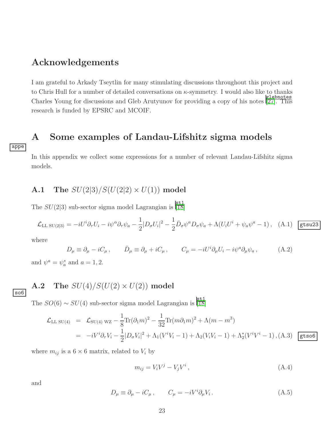### Acknowledgements

I am grateful to Arkady Tseytlin for many stimulating discussions throughout this project and to Chris Hull for a number of detailed conversations on  $\kappa$ -symmetry. I would also like to thanks Charles Young for discussions and Gleb Arutyunov for providing a copy of his notes [\[27\]](#page-42-5). This research is funded by EPSRC and MCOIF.

### <span id="page-23-0"></span>A Some examples of Landau-Lifshitz sigma models

In this appendix we collect some expressions for a number of relevant Landau-Lifshitz sigma models.

### **A.1** The  $SU(2|3)/S(U(2|2) \times U(1))$  model

The  $SU(2|3)$  sub-sector sigma model Lagrangian is  $\frac{[3L]}{[18]}$  $\frac{[3L]}{[18]}$  $\frac{[3L]}{[18]}$ 

$$
\mathcal{L}_{\text{LL SU(2|3)}} = -iU^i \partial_\tau U_i - i\psi^\alpha \partial_\tau \psi_a - \frac{1}{2} |D_\sigma U_i|^2 - \frac{1}{2} \bar{D}_\sigma \psi^a D_\sigma \psi_a + \Lambda (U_i U^i + \psi_a \psi^a - 1) \,, \quad \text{(A.1)} \quad \text{gtsu23}
$$

where

$$
D_{\mu} \equiv \partial_{\mu} - iC_{\mu} , \qquad \bar{D}_{\mu} \equiv \partial_{\mu} + iC_{\mu} , \qquad C_{\mu} = -iU^{i}\partial_{\mu}U_{i} - i\psi^{a}\partial_{\mu}\psi_{a} , \qquad (A.2)
$$

and  $\psi^a = \psi_a^*$  and  $a = 1, 2$ .

### A.2 The  $SU(4)/S(U(2) \times U(2))$  model

so6

appe

The  $SO(6) \sim SU(4)$  sub-sector sigma model Lagrangian is [\[18\]](#page-41-4)

$$
\mathcal{L}_{\text{LL SU(4)}} = \mathcal{L}_{\text{SU(4) WZ}} - \frac{1}{8} \text{Tr}(\partial_1 m)^2 - \frac{1}{32} \text{Tr}(m \partial_1 m)^2 + \Lambda (m - m^3)
$$
  
=  $-i V^i \partial_\tau V_i - \frac{1}{2} |D_\sigma V_i|^2 + \Lambda_1 (V^i V_i - 1) + \Lambda_2 (V_i V_i - 1) + \Lambda_2^* (V^i V^i - 1),$  (A.3) gtso6

where  $m_{ij}$  is a  $6 \times 6$  matrix, related to  $V_i$  by

$$
m_{ij} = V_i V^j - V_j V^i, \qquad (A.4)
$$

and

$$
D_{\mu} \equiv \partial_{\mu} - iC_{\mu} , \qquad C_{\mu} = -iV^{i}\partial_{\mu}V_{i} . \tag{A.5}
$$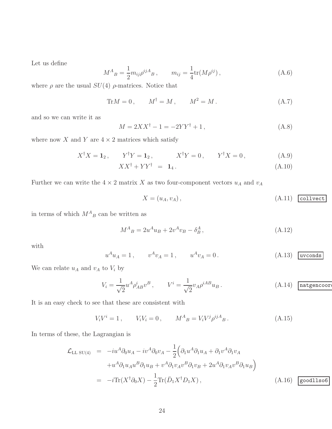Let us define

$$
M^{A}{}_{B} = \frac{1}{2} m_{ij} \rho^{ij}{}^{A}{}_{B} , \qquad m_{ij} = \frac{1}{4} \text{tr}(M \rho^{ij}) , \qquad (A.6)
$$

where  $\rho$  are the usual  $SU(4)$   $\rho$ -matrices. Notice that

$$
\text{Tr} M = 0 \,, \qquad M^{\dagger} = M \,, \qquad M^2 = M \,. \tag{A.7}
$$

and so we can write it as

$$
M = 2XX^{\dagger} - 1 = -2YY^{\dagger} + 1, \tag{A.8}
$$

where now  $X$  and  $Y$  are  $4 \times 2$  matrices which satisfy

$$
X^{\dagger}X = \mathbf{1}_2, \qquad Y^{\dagger}Y = \mathbf{1}_2, \qquad X^{\dagger}Y = 0, \qquad Y^{\dagger}X = 0, \tag{A.9}
$$

$$
XX^{\dagger} + YY^{\dagger} = \mathbf{1}_4. \tag{A.10}
$$

Further we can write the  $4\times 2$  matrix  $X$  as two four-component vectors  $u_A$  and  $v_A$ 

$$
X = (u_A, v_A), \tag{A.11}
$$

in terms of which  $M_{B}^{A}$  can be written as

$$
M_{\ B}^{A} = 2u_{\ B} + 2v_{\ B} - \delta_{B}^{A} \,, \tag{A.12}
$$

with

<span id="page-24-1"></span>
$$
u^A u_A = 1
$$
,  $v^A v_A = 1$ ,  $u^A v_A = 0$ . (A.13) uvconds

We can relate  $u_A$  and  $v_A$  to  $V_i$  by

$$
V_i = \frac{1}{\sqrt{2}} u^A \rho^i_{AB} v^B, \qquad V^i = \frac{1}{\sqrt{2}} v_A \rho^{iAB} u_B.
$$
 (A.14) **matgencoor**

It is an easy check to see that these are consistent with

$$
V_i V^i = 1, \t V_i V_i = 0, \t M^A{}_B = V_i V^j \rho^{ij}{}_B. \t (A.15)
$$

In terms of these, the Lagrangian is

<span id="page-24-0"></span>
$$
\mathcal{L}_{\text{LL SU(4)}} = -iu^A \partial_0 u_A - iv^A \partial_0 v_A - \frac{1}{2} \Big( \partial_1 u^A \partial_1 u_A + \partial_1 v^A \partial_1 v_A
$$
  

$$
+ u^A \partial_1 u_A u^B \partial_1 u_B + v^A \partial_1 v_A v^B \partial_1 v_B + 2u^A \partial_1 v_A v^B \partial_1 u_B \Big)
$$
  

$$
= -i \text{Tr}(X^{\dagger} \partial_0 X) - \frac{1}{2} \text{Tr}(\bar{D}_1 X^{\dagger} D_1 X), \qquad (A.16)
$$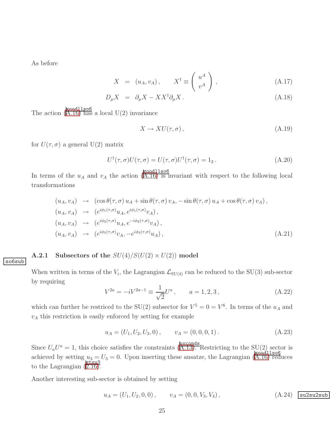As before

so6sub

$$
X = (u_A, v_A), \qquad X^{\dagger} \equiv \left(\begin{array}{c} u^A \\ v^A \end{array}\right), \tag{A.17}
$$

$$
D_{\mu}X = \partial_{\mu}X - XX^{\dagger}\partial_{\mu}X. \tag{A.18}
$$

The action  $\left(\overline{A.16}\right)$  has a local U(2) invariance

$$
X \to XU(\tau, \sigma), \tag{A.19}
$$

for  $U(\tau, \sigma)$  a general  $U(2)$  matrix

$$
U^{\dagger}(\tau,\sigma)U(\tau,\sigma) = U(\tau,\sigma)U^{\dagger}(\tau,\sigma) = 1_2.
$$
 (A.20)

In terms of the  $u_A$  and  $v_A$  the action ([A.16\)](#page-24-0) is invariant with respect to the following local transformations

$$
(u_A, v_A) \rightarrow (\cos \theta(\tau, \sigma) u_A + \sin \theta(\tau, \sigma) v_A, -\sin \theta(\tau, \sigma) u_A + \cos \theta(\tau, \sigma) v_A),
$$
  
\n
$$
(u_A, v_A) \rightarrow (e^{i\phi_1(\tau, \sigma)} u_A, e^{i\phi_1(\tau, \sigma)} v_A),
$$
  
\n
$$
(u_A, v_A) \rightarrow (e^{i\phi_2(\tau, \sigma)} u_A, e^{-i\phi_2(\tau, \sigma)} v_A),
$$
  
\n
$$
(u_A, v_A) \rightarrow (e^{i\phi_3(\tau, \sigma)} v_A, -e^{i\phi_3(\tau, \sigma)} u_A),
$$
\n(A.21)

#### **A.2.1** Subsectors of the  $SU(4)/S(U(2) \times U(2))$  model

When written in terms of the  $V_i$ , the Lagrangian  $\mathcal{L}_{\text{SU}(4)}$  can be reduced to the SU(3) sub-sector by requiring

$$
V^{2a} = -iV^{2a-1} \equiv \frac{1}{\sqrt{2}}U^a, \qquad a = 1, 2, 3,
$$
 (A.22)

which can further be restriced to the SU(2) subsector for  $V^5 = 0 = V^6$ . In terms of the  $u_A$  and  $v_A$  this restriction is easily enforced by setting for example

$$
u_A = (U_1, U_2, U_3, 0), \qquad v_A = (0, 0, 0, 1). \tag{A.23}
$$

Since  $U_a U^a = 1$ , this choice satisfies the constraints ([A.13\)](#page-24-1). Restricting to the SU(2) sector is achieved by setting  $u_3 = U_3 = 0$ . Upon inserting these ansatze, the Lagrangian ([A.16\)](#page-24-0) reduces to the Lagrangian  $(\overline{2.16})$ .

Another interesting sub-sector is obtained by setting

$$
u_A = (U_1, U_2, 0, 0), \qquad v_A = (0, 0, V_3, V_4), \qquad (A.24) \quad \text{suzsub}
$$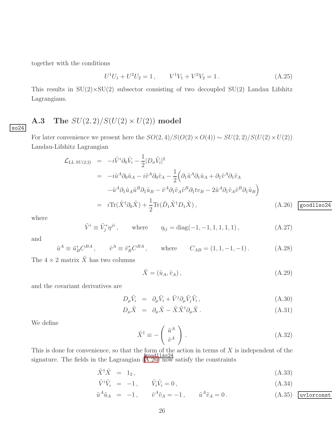together with the conditions

$$
U^{1}U_{1} + U^{2}U_{2} = 1, \qquad V^{1}V_{1} + V^{2}V_{2} = 1.
$$
\n(A.25)

This results in  $SU(2) \times SU(2)$  subsector consisting of two decoupled  $SU(2)$  Landau Lifshitz Lagrangians.

### A.3 The  $SU(2,2)/S(U(2)\times U(2))$  model

For later convenience we present here the  $SO(2, 4)/S(O(2) \times O(4)) \sim SU(2, 2)/S(U(2) \times U(2))$ Landau-Lifshitz Lagrangian

<span id="page-26-0"></span>
$$
\mathcal{L}_{\text{LL SU}(2,2)} = -i\tilde{V}^i \partial_0 \tilde{V}_i - \frac{1}{2} |D_\sigma \tilde{V}_i|^2
$$
\n
$$
= -i\tilde{u}^A \partial_0 \tilde{u}_A - i\tilde{v}^A \partial_0 \tilde{v}_A - \frac{1}{2} \Big( \partial_1 \tilde{u}^A \partial_1 \tilde{u}_A + \partial_1 \tilde{v}^A \partial_1 \tilde{v}_A
$$
\n
$$
- \tilde{u}^A \partial_1 \tilde{u}_A \tilde{u}^B \partial_1 \tilde{u}_B - \tilde{v}^A \partial_1 \tilde{v}_A \tilde{v}^B \partial_1 t v_B - 2\tilde{u}^A \partial_1 \tilde{v}_A \tilde{v}^B \partial_1 \tilde{u}_B \Big)
$$
\n
$$
= i \text{Tr}(\tilde{X}^\dagger \partial_0 \tilde{X}) + \frac{1}{2} \text{Tr}(\bar{D}_1 \tilde{X}^\dagger D_1 \tilde{X}), \tag{A.26}
$$

where

so24

$$
\tilde{V}^i \equiv \tilde{V}_j^* \eta^{ji}, \qquad \text{where} \qquad \eta_{ij} = \text{diag}(-1, -1, 1, 1, 1, 1), \tag{A.27}
$$

and

$$
\tilde{u}^A \equiv \tilde{u}_B^* C^{BA} , \qquad \tilde{v}^A \equiv \tilde{v}_B^* C^{BA} , \qquad \text{where} \qquad C_{AB} = (1, 1, -1, -1) . \tag{A.28}
$$

The  $4 \times 2$  matrix  $\tilde{X}$  has two columns

$$
\tilde{X} = (\tilde{u}_A, \tilde{v}_A), \tag{A.29}
$$

and the covariant derivatives are

$$
D_{\mu}\tilde{V}_i = \partial_{\mu}\tilde{V}_i + \tilde{V}^j \partial_{\mu}\tilde{V}_j \tilde{V}_i, \qquad (A.30)
$$

$$
D_{\mu}\tilde{X} = \partial_{\mu}\tilde{X} - \tilde{X}\tilde{X}^{\dagger}\partial_{\mu}\tilde{X}.
$$
\n(A.31)

We define

$$
\tilde{X}^{\dagger} \equiv -\left(\begin{array}{c} \tilde{u}^A\\ \tilde{v}^A \end{array}\right). \tag{A.32}
$$

This is done for convenience, so that the form of the action in terms of  $X$  is independent of the signature. The fields in the Lagrangian  $(A.26)$  $(A.26)$  now satisfy the constraints

<span id="page-26-1"></span>
$$
\tilde{X}^{\dagger}\tilde{X} = 1_2, \tag{A.33}
$$

$$
\tilde{V}^i \tilde{V}_i = -1, \qquad \tilde{V}_i \tilde{V}_i = 0, \qquad (A.34)
$$

$$
\tilde{u}^A \tilde{u}_A = -1, \qquad \tilde{v}^A \tilde{v}_A = -1, \qquad \tilde{u}^A \tilde{v}_A = 0.
$$
\n(A.35) **uvlor conv**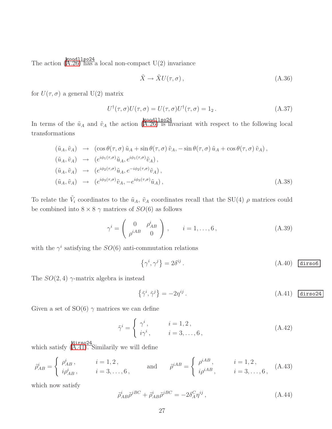The action  $\left(\overline{A.26}\right)$  has a local non-compact U(2) invariance

$$
\tilde{X} \to \tilde{X} U(\tau, \sigma) , \tag{A.36}
$$

for  $U(\tau, \sigma)$  a general U(2) matrix

$$
U^{\dagger}(\tau,\sigma)U(\tau,\sigma) = U(\tau,\sigma)U^{\dagger}(\tau,\sigma) = 1_2.
$$
 (A.37)

In terms of the  $\tilde{u}_A$  and  $\tilde{v}_A$  the action ([A.26\)](#page-26-0) is invariant with respect to the following local transformations

$$
(\tilde{u}_A, \tilde{v}_A) \rightarrow (\cos \theta(\tau, \sigma) \tilde{u}_A + \sin \theta(\tau, \sigma) \tilde{v}_A, -\sin \theta(\tau, \sigma) \tilde{u}_A + \cos \theta(\tau, \sigma) \tilde{v}_A),
$$
  
\n
$$
(\tilde{u}_A, \tilde{v}_A) \rightarrow (e^{i\phi_1(\tau, \sigma)} \tilde{u}_A, e^{i\phi_1(\tau, \sigma)} \tilde{v}_A),
$$
  
\n
$$
(\tilde{u}_A, \tilde{v}_A) \rightarrow (e^{i\phi_2(\tau, \sigma)} \tilde{u}_A, e^{-i\phi_2(\tau, \sigma)} \tilde{v}_A),
$$
  
\n
$$
(\tilde{u}_A, \tilde{v}_A) \rightarrow (e^{i\phi_3(\tau, \sigma)} \tilde{v}_A, -e^{i\phi_3(\tau, \sigma)} \tilde{u}_A),
$$
\n(A.38)

To relate the  $\tilde{V}_i$  coordinates to the  $\tilde{u}_A$ ,  $\tilde{v}_A$  coordinates recall that the SU(4)  $\rho$  matrices could be combined into  $8 \times 8 \gamma$  matrices of  $SO(6)$  as follows

$$
\gamma^i = \left(\begin{array}{cc} 0 & \rho_{AB}^i \\ \rho^{iAB} & 0 \end{array}\right), \qquad i = 1, \dots, 6, \tag{A.39}
$$

with the  $\gamma^i$  satisfying the  $SO(6)$  anti-commutation relations

$$
\{\gamma^i, \gamma^j\} = 2\delta^{ij} \,. \tag{A.40}
$$

The  $SO(2, 4)$   $\gamma$ -matrix algebra is instead

<span id="page-27-0"></span>
$$
\{\tilde{\gamma}^i, \tilde{\gamma}^j\} = -2\eta^{ij} \,. \tag{A.41}
$$

Given a set of  $SO(6)$   $\gamma$  matrices we can define

$$
\tilde{\gamma}^i = \begin{cases} \gamma^i, & i = 1, 2, \\ i\gamma^i, & i = 3, \dots, 6, \end{cases}
$$
\n(A.42)

which satisfy  $\left(\overline{A.41}\right)$ . Similarily we will define

$$
\tilde{\rho}_{AB}^{i} = \begin{cases}\n\rho_{AB}^{i}, & i = 1, 2, \\
i\rho_{AB}^{i}, & i = 3, ..., 6,\n\end{cases}\n\text{ and } \tilde{\rho}^{iAB} = \begin{cases}\n\rho^{iAB}, & i = 1, 2, \\
i\rho^{iAB}, & i = 3, ..., 6,\n\end{cases}
$$
\n(A.43)

which now satisfy

$$
\tilde{\rho}_{AB}^{i}\tilde{\rho}^{jBC} + \tilde{\rho}_{AB}^{i}\tilde{\rho}^{jBC} = -2\delta_A^C \eta^{ij},\tag{A.44}
$$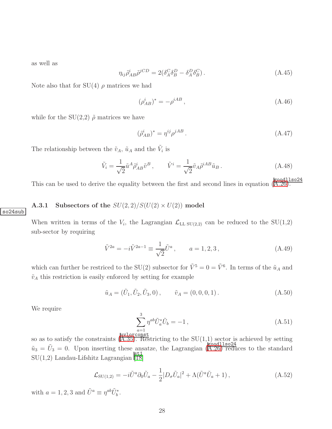as well as

$$
\eta_{ij}\tilde{\rho}_{AB}^{i}\tilde{\rho}^{jCD} = 2(\delta_A^C \delta_B^D - \delta_A^D \delta_B^C). \tag{A.45}
$$

Note also that for  $SU(4)$   $\rho$  matrices we had

$$
(\rho_{AB}^i)^* = -\rho^{iAB}, \tag{A.46}
$$

while for the  $SU(2,2)$   $\tilde{\rho}$  matrices we have

$$
(\tilde{\rho}_{AB}^i)^* = \eta^{ij} \rho^{jAB} \,. \tag{A.47}
$$

The relationship between the  $\tilde{v}_A$ ,  $\tilde{u}_A$  and the  $\tilde{V}_i$  is

$$
\tilde{V}_i = \frac{1}{\sqrt{2}} \tilde{u}^A \tilde{\rho}_{AB}^i \tilde{v}^B , \qquad \tilde{V}^i = \frac{1}{\sqrt{2}} \tilde{v}_A \tilde{\rho}^{iAB} \tilde{u}_B . \qquad (A.48)
$$

This can be used to derive the equality between the first and second lines in equation  $(\overline{A.26})$ .

### **A.3.1** Subsectors of the  $SU(2, 2)/S(U(2) \times U(2))$  model

so24sub

When written in terms of the  $V_i$ , the Lagrangian  $\mathcal{L}_{LL \text{ SU}(2,2)}$  can be reduced to the  $\text{SU}(1,2)$ sub-sector by requiring

$$
\tilde{V}^{2a} = -i\tilde{V}^{2a-1} \equiv \frac{1}{\sqrt{2}} \tilde{U}^a, \qquad a = 1, 2, 3,
$$
\n(A.49)

which can further be restriced to the SU(2) subsector for  $\tilde{V}^5 = 0 = \tilde{V}^6$ . In terms of the  $\tilde{u}_A$  and  $\tilde{v}_A$  this restriction is easily enforced by setting for example

$$
\tilde{u}_A = (\tilde{U}_1, \tilde{U}_2, \tilde{U}_3, 0), \qquad \tilde{v}_A = (0, 0, 0, 1).
$$
\n(A.50)

We require

$$
\sum_{a=1}^{3} \eta^{ab} \tilde{U}_a^* \tilde{U}_b = -1 \,, \tag{A.51}
$$

so as to satisfy the constraints  $\stackrel{\text{hypothesis}}{(A.35)}$  $\stackrel{\text{hypothesis}}{(A.35)}$  $\stackrel{\text{hypothesis}}{(A.35)}$ . Restricting to the SU(1,1) sector is achieved by setting  $\tilde{u}_3 = \tilde{U}_3 = 0$ . Upon inserting these ansatze, the Lagrangian  $(\overline{A.26})$  reduces to the standard  $\overline{\text{SU}(1,2)}$  Landau-Lifshitz Lagrangian  $\overline{18}$ 

$$
\mathcal{L}_{\text{SU}(1,2)} = -i\tilde{U}^a \partial_0 \tilde{U}_a - \frac{1}{2} |D_\sigma \tilde{U}_a|^2 + \Lambda (\tilde{U}^a \tilde{U}_a + 1) ,\tag{A.52}
$$

with  $a = 1, 2, 3$  and  $\tilde{U}^a \equiv \eta^{ab} \tilde{U}_b^*$ .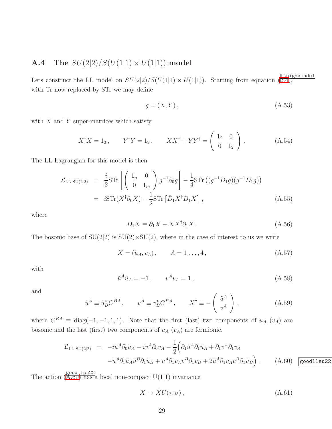### **A.4** The  $SU(2|2)/S(U(1|1) \times U(1|1))$  model

Lets construct the LL model on  $SU(2|2)/S(U(1|1) \times U(1|1))$ . Starting from equation  $(\overline{2.4})$ , with Tr now replaced by STr we may define

$$
g = (X, Y), \tag{A.53}
$$

with  $X$  and  $Y$  super-matrices which satisfy

$$
X^{\dagger}X = 1_2, \qquad Y^{\dagger}Y = 1_2, \qquad XX^{\dagger} + YY^{\dagger} = \begin{pmatrix} 1_2 & 0 \\ 0 & 1_2 \end{pmatrix} . \tag{A.54}
$$

The LL Lagrangian for this model is then

$$
\mathcal{L}_{\text{LL SU}(2|2)} = \frac{i}{2} \text{STr} \left[ \begin{pmatrix} 1_n & 0 \\ 0 & 1_m \end{pmatrix} g^{-1} \partial_0 g \right] - \frac{1}{4} \text{STr} \left( (g^{-1} D_1 g)(g^{-1} D_1 g) \right)
$$

$$
= i \text{STr} (X^{\dagger} \partial_0 X) - \frac{1}{2} \text{STr} \left[ \bar{D}_1 X^{\dagger} D_1 X \right], \tag{A.55}
$$

where

$$
D_1 X \equiv \partial_1 X - X X^{\dagger} \partial_1 X. \tag{A.56}
$$

The bosonic base of  $SU(2|2)$  is  $SU(2)\times SU(2)$ , where in the case of interest to us we write

$$
X = (\tilde{u}_A, v_A), \qquad A = 1 \dots, 4, \tag{A.57}
$$

with

$$
\tilde{u}^A \tilde{u}_A = -1, \qquad v^A v_A = 1, \tag{A.58}
$$

and

$$
\tilde{u}^A \equiv \tilde{u}_B^* C^{BA} , \qquad v^A \equiv v_B^* C^{BA} , \qquad X^\dagger \equiv -\left(\begin{array}{c} \tilde{u}^A\\ v^A \end{array}\right) , \tag{A.59}
$$

where  $C^{BA} \equiv \text{diag}(-1, -1, 1, 1)$ . Note that the first (last) two components of  $u_A$  ( $v_A$ ) are bosonic and the last (first) two components of  $u_A$  ( $v_A$ ) are fermionic.

<span id="page-29-0"></span>
$$
\mathcal{L}_{\text{LL SU}(2|2)} = -i\tilde{u}^A \partial_0 \tilde{u}_A - iv^A \partial_0 v_A - \frac{1}{2} \Big( \partial_1 \tilde{u}^A \partial_1 \tilde{u}_A + \partial_1 v^A \partial_1 v_A - \tilde{u}^A \partial_1 \tilde{u}_A \tilde{u}^B \partial_1 \tilde{u}_B + v^A \partial_1 v_A v^B \partial_1 v_B + 2\tilde{u}^A \partial_1 v_A v^B \partial_1 \tilde{u}_B \Big).
$$
 (A.60) goodllsu22

The action (goodllsu22 [A.60\)](#page-29-0) has a local non-compact U(1|1) invariance

$$
\tilde{X} \to \tilde{X} U(\tau, \sigma) , \tag{A.61}
$$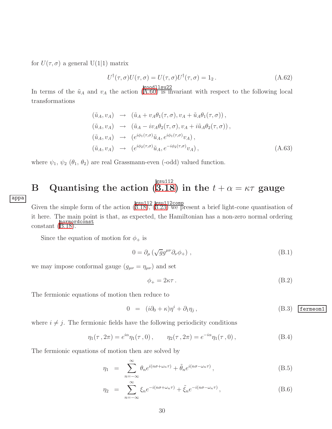for  $U(\tau, \sigma)$  a general U(1|1) matrix

$$
U^{\dagger}(\tau,\sigma)U(\tau,\sigma) = U(\tau,\sigma)U^{\dagger}(\tau,\sigma) = 1_2.
$$
 (A.62)

In terms of the  $\tilde{u}_A$  and  $v_A$  the action ([A.60\)](#page-29-0) is invariant with respect to the following local transformations

$$
(\tilde{u}_A, v_A) \rightarrow (\tilde{u}_A + v_A \theta_1(\tau, \sigma), v_A + \tilde{u}_A \theta_1(\tau, \sigma)),
$$
  
\n
$$
(\tilde{u}_A, v_A) \rightarrow (\tilde{u}_A - i v_A \theta_2(\tau, \sigma), v_A + i \tilde{u}_A \theta_2(\tau, \sigma)),
$$
  
\n
$$
(\tilde{u}_A, v_A) \rightarrow (e^{i\phi_1(\tau, \sigma)} \tilde{u}_A, e^{i\phi_1(\tau, \sigma)} v_A),
$$
  
\n
$$
(\tilde{u}_A, v_A) \rightarrow (e^{i\phi_2(\tau, \sigma)} \tilde{u}_A, e^{-i\phi_2(\tau, \sigma)} v_A),
$$
\n(A.63)

<span id="page-30-0"></span>where  $\psi_1$ ,  $\psi_2$  ( $\theta_1$ ,  $\theta_2$ ) are real Grassmann-even (-odd) valued function.

### B Quantising the action (  $\overline{3.18}) \text{ in the } t+\alpha = \kappa \tau \text{ gauge}$

appa

Given the simple form of the action  $(\overline{3.18})$ ,  $(\overline{3.23})$  we present a brief light-cone quantisation of it here. The main point is that, as expected, the Hamiltonian has a non-zero normal ordering constant ([B.18\)](#page-31-0).

Since the equation of motion for  $\phi_+$  is

$$
0 = \partial_{\mu} \left( \sqrt{g} g^{\mu \nu} \partial_{\nu} \phi_{+} \right) , \qquad (B.1)
$$

we may impose conformal gauge  $(g_{\mu\nu} = \eta_{\mu\nu})$  and set

$$
\phi_+ = 2\kappa\tau \,. \tag{B.2}
$$

The fermionic equations of motion then reduce to

$$
0 = (i\partial_0 + \kappa)\eta^i + \partial_1 \eta_j, \qquad (B.3)
$$
 (F.3) (B.4)

where  $i \neq j$ . The fermionic fields have the following periodicity conditions

$$
\eta_1(\tau, 2\pi) = e^{i\alpha}\eta_1(\tau, 0), \qquad \eta_2(\tau, 2\pi) = e^{-i\alpha}\eta_1(\tau, 0), \tag{B.4}
$$

The fermionic equations of motion then are solved by

$$
\eta_1 = \sum_{n=-\infty}^{\infty} \theta_n e^{i(n\sigma + \omega_n \tau)} + \tilde{\theta}_n e^{i(n\sigma - \omega_n \tau)}, \qquad (B.5)
$$

$$
\eta_2 = \sum_{n=-\infty}^{\infty} \xi_n e^{-i(n\sigma + \omega_n \tau)} + \tilde{\xi}_n e^{-i(n\sigma - \omega_n \tau)}, \tag{B.6}
$$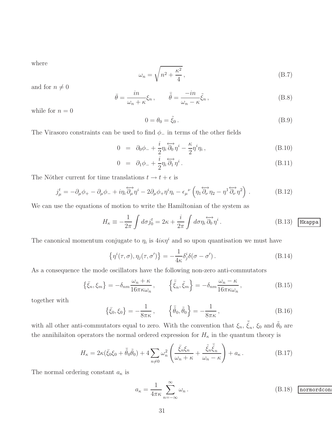where

$$
\omega_n = \sqrt{n^2 + \frac{\kappa^2}{4}},\tag{B.7}
$$

and for  $n \neq 0$ 

$$
\bar{\theta} = \frac{in}{\omega_n + \kappa} \xi_n, \qquad \bar{\tilde{\theta}} = \frac{-in}{\omega_n - \kappa} \tilde{\xi}_n,
$$
\n(B.8)

while for  $n = 0$ 

$$
0 = \theta_0 = \tilde{\xi}_0. \tag{B.9}
$$

The Virasoro constraints can be used to find  $\phi_-$  in terms of the other fields

$$
0 = \partial_0 \phi_- + \frac{i}{2} \eta_i \overleftrightarrow{\partial_0} \eta^i - \frac{\kappa}{2} \eta^i \eta_i , \qquad (B.10)
$$

$$
0 = \partial_1 \phi_- + \frac{i}{2} \eta_i \overleftrightarrow{\partial_1} \eta^i. \tag{B.11}
$$

The Nöther current for time translations  $t \to t + \epsilon$  is

$$
j^t_\mu = -\partial_\mu \phi_+ - \partial_\mu \phi_- + i\eta_i \overleftrightarrow{\partial_\mu} \eta^i - 2\partial_\mu \phi_+ \eta^i \eta_i - \epsilon_\mu{}^\nu \left( \eta_1 \overleftrightarrow{\partial_\nu} \eta_2 - \eta^1 \overleftrightarrow{\partial_\nu} \eta^2 \right) . \tag{B.12}
$$

We can use the equations of motion to write the Hamiltonian of the system as

$$
H_{\kappa} \equiv -\frac{1}{2\pi} \int d\sigma j_0^t = 2\kappa + \frac{i}{2\pi} \int d\sigma \eta_i \overleftrightarrow{\partial_0} \eta^i.
$$
 (B.13) **Hkappa**

The canonical momentum conjugate to  $\eta_i$  is  $4i\kappa\eta^i$  and so upon quantisation we must have

$$
\{\eta^i(\tau,\sigma),\eta_j(\tau,\sigma')\} = -\frac{1}{4\kappa}\delta^i_j \delta(\sigma-\sigma').
$$
 (B.14)

As a consequence the mode oscillators have the following non-zero anti-commutators

$$
\{\bar{\xi}_n, \xi_m\} = -\delta_{nm} \frac{\omega_n + \kappa}{16\pi \kappa \omega_n}, \qquad \{\bar{\xi}_n, \tilde{\xi}_m\} = -\delta_{nm} \frac{\omega_n - \kappa}{16\pi \kappa \omega_n},
$$
\n(B.15)

together with

$$
\{\bar{\xi}_0, \xi_0\} = -\frac{1}{8\pi\kappa}, \qquad \left\{\bar{\tilde{\theta}}_0, \tilde{\theta}_0\right\} = -\frac{1}{8\pi\kappa}, \qquad (B.16)
$$

with all other anti-commutators equal to zero. With the convention that  $\xi_n$ ,  $\bar{\tilde{\xi}}_n$ ,  $\xi_0$  and  $\tilde{\theta}_0$  are the annihilaiton operators the normal ordered expression for  $H_{\kappa}$  in the quantum theory is

$$
H_{\kappa} = 2\kappa(\bar{\xi}_0 \xi_0 + \bar{\tilde{\theta}}_0 \tilde{\theta}_0) + 4 \sum_{n \neq 0} \omega_n^2 \left( \frac{\bar{\xi}_n \xi_n}{\omega_n + \kappa} + \frac{\tilde{\xi}_n \bar{\tilde{\xi}}_n}{\omega_n - \kappa} \right) + a_{\kappa} \,. \tag{B.17}
$$

The normal ordering constant  $a_{\kappa}$  is

<span id="page-31-0"></span>
$$
a_{\kappa} = \frac{1}{4\pi\kappa} \sum_{n=-\infty}^{\infty} \omega_n.
$$
 (B.18) **normordcon**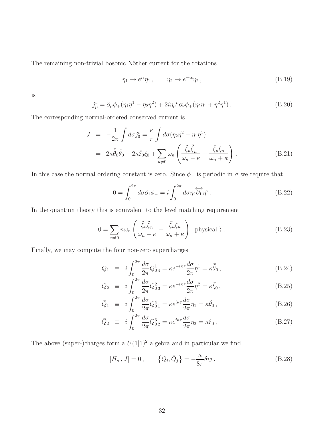The remaining non-trivial bosonic Nöther current for the rotations

$$
\eta_1 \to e^{i\epsilon} \eta_1 \,, \qquad \eta_2 \to e^{-i\epsilon} \eta_2 \,, \tag{B.19}
$$

is

$$
j_{\mu}^{c} = \partial_{\mu}\phi_{+}(\eta_{1}\eta^{1} - \eta_{2}\eta^{2}) + 2i\eta_{\mu}^{\nu}\partial_{\nu}\phi_{+}(\eta_{2}\eta_{1} + \eta^{2}\eta^{1}). \tag{B.20}
$$

The corresponding normal-ordered conserved current is

$$
J = -\frac{1}{2\pi} \int d\sigma j_0^c = \frac{\kappa}{\pi} \int d\sigma (\eta_2 \eta^2 - \eta_1 \eta^1)
$$
  

$$
= 2\kappa \bar{\tilde{\theta}}_0 \tilde{\theta}_0 - 2\kappa \bar{\xi}_0 \xi_0 + \sum_{n \neq 0} \omega_n \left( \frac{\tilde{\xi}_n \bar{\tilde{\xi}}_n}{\omega_n - \kappa} - \frac{\bar{\xi}_n \xi_n}{\omega_n + \kappa} \right).
$$
(B.21)

In this case the normal ordering constant is zero. Since  $\phi_-$  is periodic in  $\sigma$  we require that

$$
0 = \int_0^{2\pi} d\sigma \partial_1 \phi_- = i \int_0^{2\pi} d\sigma \eta_i \overleftrightarrow{\partial_1} \eta^i , \qquad (B.22)
$$

In the quantum theory this is equivalent to the level matching requirement

$$
0 = \sum_{n \neq 0} n \omega_n \left( \frac{\tilde{\xi}_n \bar{\tilde{\xi}}_n}{\omega_n - \kappa} - \frac{\bar{\xi}_n \xi_n}{\omega_n + \kappa} \right) \mid \text{physical } \rangle . \tag{B.23}
$$

Finally, we may compute the four non-zero supercharges

$$
Q_1 \equiv i \int_0^{2\pi} \frac{d\sigma}{2\pi} Q_{04}^1 = \kappa e^{-i\kappa\tau} \frac{d\sigma}{2\pi} \eta^1 = \kappa \bar{\tilde{\theta}}_0 \,, \tag{B.24}
$$

$$
Q_2 \equiv i \int_0^{2\pi} \frac{d\sigma}{2\pi} Q_{03}^2 = \kappa e^{-i\kappa\tau} \frac{d\sigma}{2\pi} \eta^2 = \kappa \bar{\xi}_0 \,, \tag{B.25}
$$

$$
\bar{Q}_1 \equiv i \int_0^{2\pi} \frac{d\sigma}{2\pi} Q_{01}^4 = \kappa e^{i\kappa\tau} \frac{d\sigma}{2\pi} \eta_1 = \kappa \tilde{\theta}_0 \,, \tag{B.26}
$$

$$
\bar{Q}_2 \equiv i \int_0^{2\pi} \frac{d\sigma}{2\pi} Q_{02}^3 = \kappa e^{i\kappa\tau} \frac{d\sigma}{2\pi} \eta_2 = \kappa \xi_0 \,, \tag{B.27}
$$

The above (super-)charges form a  $U(1|1)^2$  algebra and in particular we find

$$
[H_{\kappa}, J] = 0, \qquad \left\{Q_i, \bar{Q}_j\right\} = -\frac{\kappa}{8\pi} \delta i j. \tag{B.28}
$$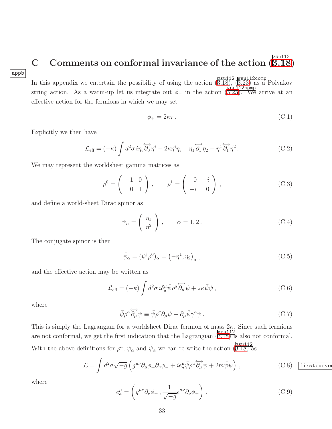### appb

#### <span id="page-33-0"></span>C Comments on conformal invariance of the action ( gsu112  $\overline{3.18})$

In this appendix we entertain the possibility of using the action  $\left(\frac{\text{gsu112}}{\text{B.18}}\right), \left(\frac{\text{gsu112}}{\text{B.23}}\right)$  as a Polyakov string action. As a warm-up let us integrate out  $\phi_-$  in the action ([3.23\)](#page-14-1). We arrive at an effective action for the fermions in which we may set

$$
\phi_+ = 2\kappa\tau \,. \tag{C.1}
$$

Explicitly we then have

$$
\mathcal{L}_{\text{eff}} = (-\kappa) \int d^2 \sigma \, i \eta_i \overleftrightarrow{\partial_0} \eta^i - 2\kappa \eta^i \eta_i + \eta_1 \overleftrightarrow{\partial_1} \eta_2 - \eta^1 \overleftrightarrow{\partial_1} \eta^2. \tag{C.2}
$$

We may represent the worldsheet gamma matrices as

$$
\rho^0 = \begin{pmatrix} -1 & 0 \\ 0 & 1 \end{pmatrix}, \qquad \rho^1 = \begin{pmatrix} 0 & -i \\ -i & 0 \end{pmatrix}, \tag{C.3}
$$

and define a world-sheet Dirac spinor as

$$
\psi_{\alpha} = \left(\begin{array}{c} \eta_1 \\ \eta^2 \end{array}\right), \qquad \alpha = 1, 2. \tag{C.4}
$$

The conjugate spinor is then

$$
\bar{\psi}_{\alpha} = (\psi^{\dagger} \rho^0)_{\alpha} = (-\eta^1, \eta_2)_{\alpha} , \qquad (C.5)
$$

and the effective action may be written as

$$
\mathcal{L}_{\text{eff}} = (-\kappa) \int d^2 \sigma \, i \delta_a^\mu \bar{\psi} \rho^a \overleftrightarrow{\partial_\mu} \psi + 2\kappa \bar{\psi} \psi \,, \tag{C.6}
$$

where

$$
\bar{\psi}\rho^a \overleftrightarrow{\partial_\mu}\psi \equiv \bar{\psi}\rho^a \partial_\mu\psi - \partial_\mu\bar{\psi}\gamma^a\psi. \tag{C.7}
$$

This is simply the Lagrangian for a worldsheet Dirac fermion of mass  $2\kappa$ . Since such fermions are not conformal, we get the first indication that the Lagrangian  $(\overline{3.18})$  is also not conformal. With the above definitions for  $\rho^a$ ,  $\psi_\alpha$  and  $\bar{\psi}_\alpha$  we can re-write the action  $\frac{gsu112}{(3.18)}$  $\frac{gsu112}{(3.18)}$  $\frac{gsu112}{(3.18)}$  as

<span id="page-33-1"></span>
$$
\mathcal{L} = \int d^2 \sigma \sqrt{-g} \left( g^{\mu \nu} \partial_{\mu} \phi_{+} \partial_{\nu} \phi_{-} + i e_a^{\mu} \bar{\psi} \rho^a \overleftrightarrow{\partial_{\mu}} \psi + 2 m \bar{\psi} \psi \right) , \qquad (C.8)
$$
 **first curve**

where

$$
e_a^{\mu} = \left( g^{\mu\nu} \partial_{\nu} \phi_+, \frac{1}{\sqrt{-g}} \epsilon^{\mu\nu} \partial_{\nu} \phi_+ \right).
$$
 (C.9)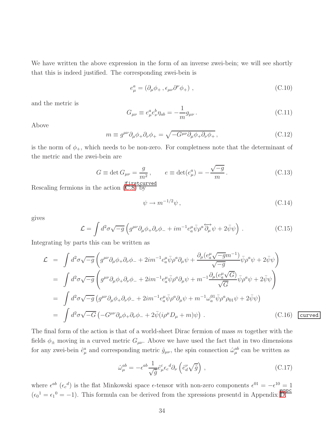We have written the above expression in the form of an inverse zwei-bein; we will see shortly that this is indeed justified. The corresponding zwei-bein is

$$
e^a_\mu = (\partial_\mu \phi_+, \epsilon_{\mu\nu} \partial^\nu \phi_+), \qquad (C.10)
$$

and the metric is

$$
G_{\mu\nu} \equiv e^a_\mu e^b_\nu \eta_{ab} = -\frac{1}{m} g_{\mu\nu} \,. \tag{C.11}
$$

Above

$$
m \equiv g^{\mu\nu}\partial_{\mu}\phi_{+}\partial_{\nu}\phi_{+} = \sqrt{-G^{\mu\nu}\partial_{\mu}\phi_{+}\partial_{\nu}\phi_{+}},
$$
\n(C.12)

is the norm of  $\phi_+$ , which needs to be non-zero. For completness note that the determinant of the metric and the zwei-bein are

$$
G \equiv \det G_{\mu\nu} = \frac{g}{m^2}, \qquad e \equiv \det(e^a_\mu) = -\frac{\sqrt{-g}}{m}.
$$
 (C.13)

Rescaling fermions in the action  $(\overline{C.8})$  by

$$
\psi \to m^{-1/2}\psi \,,\tag{C.14}
$$

gives

$$
\mathcal{L} = \int d^2 \sigma \sqrt{-g} \left( g^{\mu\nu} \partial_{\mu} \phi_{+} \partial_{\nu} \phi_{-} + i m^{-1} e_a^{\mu} \bar{\psi} \rho^a \overleftrightarrow{\partial_{\mu}} \psi + 2 \bar{\psi} \psi \right) . \tag{C.15}
$$

Integrating by parts this can be written as

<span id="page-34-0"></span>
$$
\mathcal{L} = \int d^2 \sigma \sqrt{-g} \left( g^{\mu\nu} \partial_{\mu} \phi_{+} \partial_{\nu} \phi_{-} + 2im^{-1} e^{\mu}_{a} \bar{\psi} \rho^{a} \partial_{\mu} \psi + \frac{\partial_{\mu} (e^{\mu}_{a} \sqrt{-g} m^{-1})}{\sqrt{-g}} \bar{\psi} \rho^{a} \psi + 2 \bar{\psi} \psi \right)
$$
  
\n
$$
= \int d^2 \sigma \sqrt{-g} \left( g^{\mu\nu} \partial_{\mu} \phi_{+} \partial_{\nu} \phi_{-} + 2im^{-1} e^{\mu}_{a} \bar{\psi} \rho^{a} \partial_{\mu} \psi + m^{-1} \frac{\partial_{\mu} (e^{\mu}_{a} \sqrt{G})}{\sqrt{G}} \bar{\psi} \rho^{a} \psi + 2 \bar{\psi} \psi \right)
$$
  
\n
$$
= \int d^2 \sigma \sqrt{-g} \left( g^{\mu\nu} \partial_{\mu} \phi_{+} \partial_{\nu} \phi_{-} + 2im^{-1} e^{\mu}_{a} \bar{\psi} \rho^{a} \partial_{\mu} \psi + m^{-1} \omega_{a}^{01} \bar{\psi} \rho^{a} \rho_{01} \psi + 2 \bar{\psi} \psi \right)
$$
  
\n
$$
= \int d^2 \sigma \sqrt{-G} \left( -G^{\mu\nu} \partial_{\mu} \phi_{+} \partial_{\nu} \phi_{-} + 2 \bar{\psi} (i \rho^{\mu} D_{\mu} + m) \psi \right).
$$
 (C.16) 
$$
\boxed{\text{curved}}
$$

The final form of the action is that of a world-sheet Dirac fermion of mass  $m$  together with the fields  $\phi_{\pm}$  moving in a curved metric  $G_{\mu\nu}$ . Above we have used the fact that in two dimensions for any zwei-bein  $\hat{e}^a_\mu$  and corresponding metric  $\hat{g}_{\mu\nu}$ , the spin connection  $\hat{\omega}^{ab}_\mu$  can be written as

$$
\hat{\omega}_{\mu}^{ab} = -\epsilon^{ab} \frac{1}{\sqrt{\hat{g}}} \hat{e}_{\mu}^c \epsilon_c^d \partial_{\nu} \left( \hat{e}_{d}^{\nu} \sqrt{\hat{g}} \right) , \qquad (C.17)
$$

where  $\epsilon^{ab}$  ( $\epsilon_c^{d}$ ) is the flat Minkowski space  $\epsilon$ -tensor with non-zero components  $\epsilon^{01} = -\epsilon^{10} = 1$  $(\epsilon_0^1 = \epsilon_1^0 = -1)$ . This formula can be derived from the xpressions presentd in Appendix [D.](#page-35-0)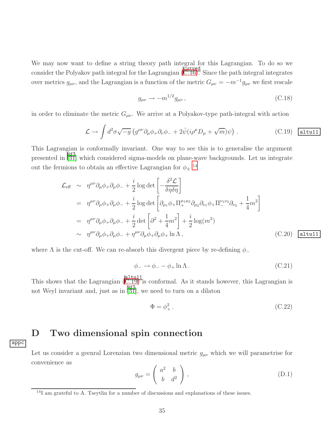We may now want to define a string theory path integral for this Lagrangian. To do so we consider the Polyakov path integral for the Lagrangian  $\overline{(C.16)}$  $\overline{(C.16)}$  $\overline{(C.16)}$ . Since the path integral integrates over metrics  $g_{\mu\nu}$ , and the Lagrangian is a function of the metric  $G_{\mu\nu} = -m^{-1}g_{\mu\nu}$  we first rescale

$$
g_{\mu\nu} \to -m^{1/2} g_{\mu\nu} \,, \tag{C.18}
$$

in order to eliminate the metric  $G_{\mu\nu}$ . We arrive at a Polyakov-type path-integral with action

<span id="page-35-2"></span>
$$
\mathcal{L} \to \int d^2 \sigma \sqrt{-g} \left( g^{\mu \nu} \partial_{\mu} \phi_{+} \partial_{\nu} \phi_{-} + 2 \bar{\psi} (i \rho^{\mu} D_{\mu} + \sqrt{m}) \psi \right) . \tag{C.19}
$$

This Lagrangian is conformally invariant. One way to see this is to generalise the argument presented in [\[31\]](#page-42-8) which considered sigma-models on plane-wave backgrounds. Let us integrate out the fermions to obtain an effective Lagrangian for  $\phi_{\pm}$ <sup>[14](#page-35-1)</sup>

$$
\mathcal{L}_{\text{eff}} \sim \eta^{\mu\nu} \partial_{\mu} \phi_{+} \partial_{\mu} \phi_{-} + \frac{i}{2} \log \det \left[ -\frac{\delta^{2} \mathcal{L}}{\delta \eta \delta \eta} \right]
$$
\n
$$
= \eta^{\mu\nu} \partial_{\mu} \phi_{+} \partial_{\mu} \phi_{-} + \frac{i}{2} \log \det \left[ \partial_{\mu_{1}} \phi_{+} \Pi_{+}^{\mu_{1} \mu_{2}} \partial_{\mu_{2}} \partial_{\nu_{1}} \phi_{+} \Pi_{-}^{\nu_{1} \nu_{2}} \partial_{\nu_{2}} + \frac{1}{4} m^{2} \right]
$$
\n
$$
= \eta^{\mu\nu} \partial_{\mu} \phi_{+} \partial_{\mu} \phi_{-} + \frac{i}{2} \det \left[ \partial^{2} + \frac{1}{4} m^{2} \right] + \frac{i}{2} \log(m^{2})
$$
\n
$$
\sim \eta^{\mu\nu} \partial_{\mu} \phi_{+} \partial_{\mu} \phi_{-} + \eta^{\mu\nu} \partial_{\mu} \phi_{+} \partial_{\mu} \phi_{+} \ln \Lambda, \qquad (C.20) \quad \text{altu11}
$$

where  $\Lambda$  is the cut-off. We can re-absorb this divergent piece by re-defining  $\phi$ <sub>-</sub>

$$
\phi_- \to \phi_- - \phi_+ \ln \Lambda \,. \tag{C.21}
$$

This shows that the Lagrangian  $(\overline{C.19})$  is conformal. As it stands however, this Lagrangian is not Weyl invariant and, just as in  $\overline{31}$ , we need to turn on a dilaton

$$
\Phi = \phi_+^2. \tag{C.22}
$$

### <span id="page-35-0"></span>D Two dimensional spin connection

appc

Let us consider a geenral Lorenzian two dimensional metric  $g_{\mu\nu}$  which we will parametrise for convenience as

$$
g_{\mu\nu} = \begin{pmatrix} a^2 & b \\ b & d^2 \end{pmatrix}, \tag{D.1}
$$

<span id="page-35-1"></span><sup>&</sup>lt;sup>14</sup>I am grateful to A. Tseytlin for a number of discussions and explanations of these issues.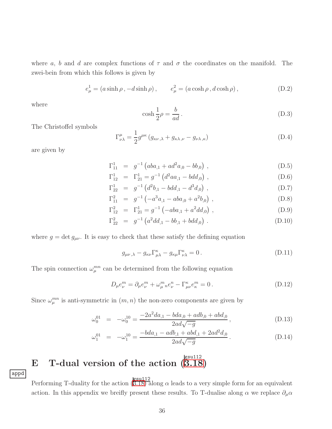where a, b and d are complex functions of  $\tau$  and  $\sigma$  the coordinates on the manifold. The zwei-bein from which this follows is given by

$$
e_{\mu}^{1} = (a \sinh \rho, -d \sinh \rho), \qquad e_{\mu}^{2} = (a \cosh \rho, d \cosh \rho), \qquad (D.2)
$$

where

$$
\cosh\frac{1}{2}\rho = \frac{b}{ad} \,. \tag{D.3}
$$

The Christoffel symbols

$$
\Gamma^{\mu}_{\nu\lambda} = \frac{1}{2} g^{\mu\kappa} \left( g_{\kappa\nu,\lambda} + g_{\kappa\lambda,\nu} - g_{\nu\lambda,\kappa} \right) \tag{D.4}
$$

are given by

$$
\Gamma_{11}^{1} = g^{-1} \left( aba_{,1} + ad^{2}a_{,0} - bb_{,0} \right) , \qquad (D.5)
$$

$$
\Gamma_{12}^1 = \Gamma_{21}^1 = g^{-1} \left( d^2 a a_{,1} - b d d_{,0} \right) , \tag{D.6}
$$

$$
\Gamma_{22}^1 = g^{-1} \left( d^2 b_{,1} - b d d_{,1} - d^3 d_{,0} \right) , \tag{D.7}
$$

$$
\Gamma_{11}^2 = g^{-1} \left( -a^3 a_{,1} - aba_{,0} + a^2 b_{,0} \right) , \tag{D.8}
$$

$$
\Gamma_{12}^2 = \Gamma_{21}^1 = g^{-1} \left( -aba_{,1} + a^2 dd_{,0} \right) , \tag{D.9}
$$

$$
\Gamma_{22}^2 = g^{-1} \left( a^2 d d_{,1} - b b_{,1} + b d d_{,0} \right) . \tag{D.10}
$$

where  $g = \det g_{\mu\nu}$ . It is easy to check that these satisfy the defining equation

$$
g_{\mu\nu,\lambda} - g_{\kappa\nu} \Gamma^{\kappa}_{\mu\lambda} - g_{\kappa\mu} \Gamma^{\kappa}_{\nu\lambda} = 0.
$$
 (D.11)

The spin connection  $\omega_{\mu}^{mn}$  can be determined from the following equation

$$
D_{\mu}e_{\nu}^{m} = \partial_{\mu}e_{\nu}^{m} + \omega_{\mu}^{m}e_{\nu}^{n} - \Gamma_{\mu\nu}^{\kappa}e_{\kappa}^{m} = 0.
$$
 (D.12)

Since  $\omega_{\mu}^{mn}$  is anti-symmetric in  $(m, n)$  the non-zero components are given by

$$
\omega_0^{01} = -\omega_0^{10} = \frac{-2a^2da_{,1} - bda_{,0} + adb_{,0} + abd_{,0}}{2ad\sqrt{-g}},
$$
\n(D.13)

$$
\omega_1^{01} = -\omega_1^{10} = \frac{-bda_{,1} - adb_{,1} + abd_{,1} + 2ad^2d_{,0}}{2ad\sqrt{-g}}.
$$
\n(D.14)

#### <span id="page-36-0"></span>E T-dual version of the action ( gsu112  $\overline{3.18})$

appd

Performing T-duality for the action  $(3.18)$  $(3.18)$  along  $\alpha$  leads to a very simple form for an equivalent action. In this appendix we breifly present these results. To T-dualise along  $\alpha$  we replace  $\partial_{\mu}\alpha$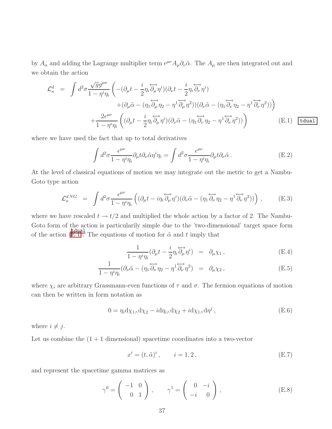by  $A_\alpha$  and adding the Lagrange multiplier term  $\epsilon^{\mu\nu}A_\mu\partial_\nu\tilde{\alpha}$ . The  $A_\mu$  are then integrated out and we obtain the action

<span id="page-37-0"></span>
$$
\mathcal{L}_{\kappa}^{d} = \int d^{2} \sigma \frac{\sqrt{g} g^{\mu \nu}}{1 - \eta^{i} \eta_{i}} \left( -(\partial_{\mu} t - \frac{i}{2} \eta_{i} \overleftrightarrow{\partial_{\mu}} \eta^{i}) (\partial_{\nu} t - \frac{i}{2} \eta_{i} \overleftrightarrow{\partial_{\nu}} \eta^{i}) \right. \\ \left. + (\partial_{\mu} \tilde{\alpha} - (\eta_{1} \overleftrightarrow{\partial_{\mu}} \eta_{2} - \eta^{1} \overleftrightarrow{\partial_{\mu}} \eta^{2})) (\partial_{\nu} \tilde{\alpha} - (\eta_{1} \overleftrightarrow{\partial_{\nu}} \eta_{2} - \eta^{1} \overleftrightarrow{\partial_{\nu}} \eta^{2})) \right) \\ \left. + \frac{2 \epsilon^{\mu \nu}}{1 - \eta^{i} \eta_{i}} \left( (\partial_{\mu} t - \frac{i}{2} \eta_{i} \overleftrightarrow{\partial_{\mu}} \eta^{i}) (\partial_{\nu} \tilde{\alpha} - (\eta_{1} \overleftrightarrow{\partial_{\nu}} \eta_{2} - \eta^{1} \overleftrightarrow{\partial_{\nu}} \eta^{2})) \right) \right) \tag{E.1}
$$

where we have used the fact that up to total derivatives

$$
\int d^2 \sigma \frac{\epsilon^{\mu\nu}}{1 - \eta^i \eta_i} \partial_\mu t \partial_\nu \tilde{\alpha} \eta^i \eta_i = \int d^2 \sigma \frac{\epsilon^{\mu\nu}}{1 - \eta^i \eta_i} \partial_\mu t \partial_\nu \tilde{\alpha} \,. \tag{E.2}
$$

At the level of classical equations of motion we may integrate out the metric to get a Nambu-Goto type action

$$
\mathcal{L}_{\kappa}^{dNG} = \int d^2 \sigma \frac{\epsilon^{\mu \nu}}{1 - \eta^i \eta_i} \left( (\partial_{\mu} t - i \eta_i \overleftrightarrow{\partial_{\mu}} \eta^i)(\partial_{\nu} \tilde{\alpha} - (\eta_1 \overleftrightarrow{\partial_{\nu}} \eta_2 - \eta^1 \overleftrightarrow{\partial_{\nu}} \eta^2)) \right) , \tag{E.3}
$$

where we have rescaled  $t \to t/2$  and multiplied the whole action by a factor of 2. The Nambu-Goto form of the action is particularily simple due to the 'two-dimensional' target space form of the action ([E.1\)](#page-37-0). The equations of motion for  $\tilde{\alpha}$  and t imply that

$$
\frac{1}{1 - \eta^i \eta_i} (\partial_\mu t - \frac{i}{2} \eta_i \overleftrightarrow{\partial_\mu} \eta^i) = \partial_\mu \chi_1 , \qquad (E.4)
$$

$$
\frac{1}{1 - \eta^i \eta_i} (\partial_\nu \tilde{\alpha} - (\eta_1 \overleftrightarrow{\partial_\nu} \eta_2 - \eta^1 \overleftrightarrow{\partial_\nu} \eta^2) = \partial_\mu \chi_2 ,
$$
 (E.5)

where  $\chi_i$  are arbitrary Grassmann-even functions of  $\tau$  and  $\sigma$ . The fermion equations of motion can then be written in form notation as

$$
0 = \eta_i \mathrm{d}\chi_{1\wedge} \mathrm{d}\chi_2 - i \mathrm{d}\eta_{i\wedge} \mathrm{d}\chi_2 + i \mathrm{d}\chi_{1\wedge} \mathrm{d}\eta^j , \tag{E.6}
$$

where  $i \neq j$ .

Let us combine the  $(1 + 1$  dimensional) spacetime coordinates into a two-vector

$$
x^{i} = (t, \tilde{\alpha})^{i}, \qquad i = 1, 2, \tag{E.7}
$$

and represent the spacetime gamma matrices as

$$
\gamma^0 = \begin{pmatrix} -1 & 0 \\ 0 & 1 \end{pmatrix}, \qquad \gamma^1 = \begin{pmatrix} 0 & -i \\ -i & 0 \end{pmatrix}, \tag{E.8}
$$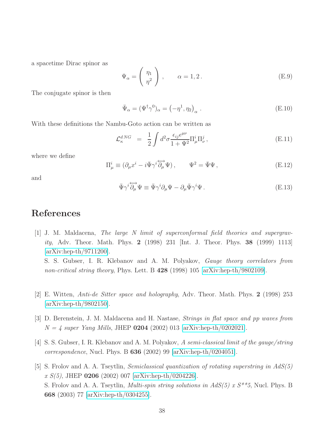a spacetime Dirac spinor as

$$
\Psi_{\alpha} = \left(\begin{array}{c} \eta_1 \\ \eta^2 \end{array}\right) , \qquad \alpha = 1, 2. \tag{E.9}
$$

The conjugate spinor is then

$$
\bar{\Psi}_{\alpha} = (\Psi^{\dagger} \gamma^0)_{\alpha} = (-\eta^1, \eta_2)_{\alpha} . \tag{E.10}
$$

With these definitions the Nambu-Goto action can be written as

$$
\mathcal{L}_{\kappa}^{dNG} = \frac{1}{2} \int d^2 \sigma \frac{\epsilon_{ij} \epsilon^{\mu \nu}}{1 + \Psi^2} \Pi_{\mu}^i \Pi_{\nu}^j, \tag{E.11}
$$

where we define

$$
\Pi^i_\mu \equiv (\partial_\mu x^i - i \bar{\Psi} \gamma^i \overleftrightarrow{\partial_\mu} \Psi), \qquad \Psi^2 = \bar{\Psi} \Psi, \qquad (E.12)
$$

and

$$
\bar{\Psi}\gamma^{i}\overleftrightarrow{\partial_{\mu}}\Psi \equiv \bar{\Psi}\gamma^{i}\partial_{\mu}\Psi - \partial_{\mu}\bar{\Psi}\gamma^{i}\Psi.
$$
 (E.13)

### <span id="page-38-0"></span>References

[1] J. M. Maldacena, *The large N limit of superconformal field theories and supergravity*, Adv. Theor. Math. Phys. 2 (1998) 231 [Int. J. Theor. Phys. 38 (1999) 1113] [\[arXiv:hep-th/9711200\]](http://arXiv.org/abs/hep-th/9711200). S. S. Gubser, I. R. Klebanov and A. M. Polyakov, *Gauge theory correlators from*

*non-critical string theory*, Phys. Lett. B 428 (1998) 105 [\[arXiv:hep-th/9802109\]](http://arXiv.org/abs/hep-th/9802109).

- <span id="page-38-1"></span>[2] E. Witten, *Anti-de Sitter space and holography*, Adv. Theor. Math. Phys. 2 (1998) 253 [\[arXiv:hep-th/9802150\]](http://arXiv.org/abs/hep-th/9802150).
- <span id="page-38-2"></span>[3] D. Berenstein, J. M. Maldacena and H. Nastase, *Strings in flat space and pp waves from N = 4 super Yang Mills*, JHEP 0204 (2002) 013 [\[arXiv:hep-th/0202021\]](http://arXiv.org/abs/hep-th/0202021).
- <span id="page-38-3"></span>[4] S. S. Gubser, I. R. Klebanov and A. M. Polyakov, *A semi-classical limit of the gauge/string correspondence*, Nucl. Phys. B 636 (2002) 99 [\[arXiv:hep-th/0204051\]](http://arXiv.org/abs/hep-th/0204051).
- [5] S. Frolov and A. A. Tseytlin, *Semiclassical quantization of rotating superstring in AdS(5) x S(5)*, JHEP 0206 (2002) 007 [\[arXiv:hep-th/0204226\]](http://arXiv.org/abs/hep-th/0204226). S. Frolov and A. A. Tseytlin, *Multi-spin string solutions in AdS(5) x S\*\*5*, Nucl. Phys. B 668 (2003) 77 [\[arXiv:hep-th/0304255\]](http://arXiv.org/abs/hep-th/0304255).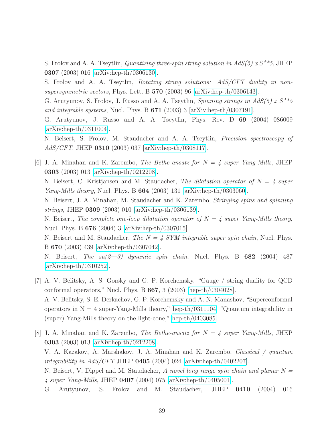S. Frolov and A. A. Tseytlin, *Quantizing three-spin string solution in AdS(5) x S\*\*5*, JHEP 0307 (2003) 016 [\[arXiv:hep-th/0306130\]](http://arXiv.org/abs/hep-th/0306130).

S. Frolov and A. A. Tseytlin, *Rotating string solutions: AdS/CFT duality in nonsupersymmetric sectors*, Phys. Lett. B 570 (2003) 96 [\[arXiv:hep-th/0306143\]](http://arXiv.org/abs/hep-th/0306143).

G. Arutyunov, S. Frolov, J. Russo and A. A. Tseytlin, *Spinning strings in AdS(5) x S\*\*5 and integrable systems*, Nucl. Phys. B 671 (2003) 3 [\[arXiv:hep-th/0307191\]](http://arXiv.org/abs/hep-th/0307191).

G. Arutyunov, J. Russo and A. A. Tseytlin, Phys. Rev. D 69 (2004) 086009 [\[arXiv:hep-th/0311004\]](http://arXiv.org/abs/hep-th/0311004).

N. Beisert, S. Frolov, M. Staudacher and A. A. Tseytlin, *Precision spectroscopy of AdS/CFT*, JHEP 0310 (2003) 037 [\[arXiv:hep-th/0308117\]](http://arXiv.org/abs/hep-th/0308117).

<span id="page-39-0"></span>[6] J. A. Minahan and K. Zarembo, *The Bethe-ansatz for N = 4 super Yang-Mills*, JHEP 0303 (2003) 013 [\[arXiv:hep-th/0212208\]](http://arXiv.org/abs/hep-th/0212208).

N. Beisert, C. Kristjansen and M. Staudacher, *The dilatation operator of N = 4 super Yang-Mills theory*, Nucl. Phys. B 664 (2003) 131 [\[arXiv:hep-th/0303060\]](http://arXiv.org/abs/hep-th/0303060).

N. Beisert, J. A. Minahan, M. Staudacher and K. Zarembo, *Stringing spins and spinning strings*, JHEP 0309 (2003) 010 [\[arXiv:hep-th/0306139\]](http://arXiv.org/abs/hep-th/0306139).

N. Beisert, *The complete one-loop dilatation operator of N = 4 super Yang-Mills theory*, Nucl. Phys. B 676 (2004) 3 [\[arXiv:hep-th/0307015\]](http://arXiv.org/abs/hep-th/0307015).

N. Beisert and M. Staudacher, *The N = 4 SYM integrable super spin chain*, Nucl. Phys. B 670 (2003) 439 [\[arXiv:hep-th/0307042\]](http://arXiv.org/abs/hep-th/0307042).

N. Beisert, *The su(2—3) dynamic spin chain*, Nucl. Phys. B 682 (2004) 487 [\[arXiv:hep-th/0310252\]](http://arXiv.org/abs/hep-th/0310252).

- <span id="page-39-1"></span>[7] A. V. Belitsky, A. S. Gorsky and G. P. Korchemsky, "Gauge / string duality for QCD conformal operators," Nucl. Phys. B  $667$ , 3 (2003) [\[hep-th/0304028\]](http://arXiv.org/abs/hep-th/0304028). A. V. Belitsky, S. E. Derkachov, G. P. Korchemsky and A. N. Manashov, "Superconformal operators in  $N = 4$  super-Yang-Mills theory," [hep-th/0311104.](http://arXiv.org/abs/hep-th/0311104) "Quantum integrability in (super) Yang-Mills theory on the light-cone," [hep-th/0403085.](http://arXiv.org/abs/hep-th/0403085)
- <span id="page-39-2"></span>[8] J. A. Minahan and K. Zarembo, *The Bethe-ansatz for N = 4 super Yang-Mills*, JHEP 0303 (2003) 013 [\[arXiv:hep-th/0212208\]](http://arXiv.org/abs/hep-th/0212208). V. A. Kazakov, A. Marshakov, J. A. Minahan and K. Zarembo, *Classical / quantum integrability in AdS/CFT* JHEP 0405 (2004) 024 [\[arXiv:hep-th/0402207\]](http://arXiv.org/abs/hep-th/0402207). N. Beisert, V. Dippel and M. Staudacher, *A novel long range spin chain and planar N = 4 super Yang-Mills*, JHEP 0407 (2004) 075 [\[arXiv:hep-th/0405001\]](http://arXiv.org/abs/hep-th/0405001). G. Arutyunov, S. Frolov and M. Staudacher, JHEP 0410 (2004) 016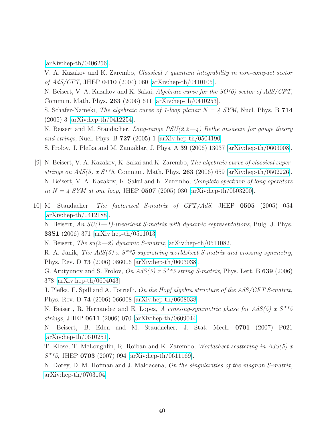[\[arXiv:hep-th/0406256\]](http://arXiv.org/abs/hep-th/0406256).

V. A. Kazakov and K. Zarembo, *Classical / quantum integrability in non-compact sector of AdS/CFT*, JHEP 0410 (2004) 060 [\[arXiv:hep-th/0410105\]](http://arXiv.org/abs/hep-th/0410105).

N. Beisert, V. A. Kazakov and K. Sakai, *Algebraic curve for the SO(6) sector of AdS/CFT*, Commun. Math. Phys. 263 (2006) 611 [\[arXiv:hep-th/0410253\]](http://arXiv.org/abs/hep-th/0410253).

S. Schafer-Nameki, *The algebraic curve of 1-loop planar N = 4 SYM*, Nucl. Phys. B 714 (2005) 3 [\[arXiv:hep-th/0412254\]](http://arXiv.org/abs/hep-th/0412254).

N. Beisert and M. Staudacher, *Long-range PSU(2,2—4) Bethe ansaetze for gauge theory and strings*, Nucl. Phys. B 727 (2005) 1 [\[arXiv:hep-th/0504190\]](http://arXiv.org/abs/hep-th/0504190).

<span id="page-40-1"></span>S. Frolov, J. Plefka and M. Zamaklar, J. Phys. A 39 (2006) 13037 [\[arXiv:hep-th/0603008\]](http://arXiv.org/abs/hep-th/0603008).

- [9] N. Beisert, V. A. Kazakov, K. Sakai and K. Zarembo, *The algebraic curve of classical superstrings on AdS(5) x S\*\*5*, Commun. Math. Phys. 263 (2006) 659 [\[arXiv:hep-th/0502226\]](http://arXiv.org/abs/hep-th/0502226). N. Beisert, V. A. Kazakov, K. Sakai and K. Zarembo, *Complete spectrum of long operators in*  $N = 4$  *SYM at one loop*, JHEP **0507** (2005) 030 [\[arXiv:hep-th/0503200\]](http://arXiv.org/abs/hep-th/0503200).
- <span id="page-40-0"></span>[10] M. Staudacher, *The factorized S-matrix of CFT/AdS*, JHEP 0505 (2005) 054 [\[arXiv:hep-th/0412188\]](http://arXiv.org/abs/hep-th/0412188).

N. Beisert, *An SU(1—1)-invariant S-matrix with dynamic representations*, Bulg. J. Phys. 33S1 (2006) 371 [\[arXiv:hep-th/0511013\]](http://arXiv.org/abs/hep-th/0511013).

N. Beisert, *The su(2—2) dynamic S-matrix*, [arXiv:hep-th/0511082.](http://arXiv.org/abs/hep-th/0511082)

R. A. Janik, *The AdS(5) x S\*\*5 superstring worldsheet S-matrix and crossing symmetry*, Phys. Rev. D 73 (2006) 086006 [\[arXiv:hep-th/0603038\]](http://arXiv.org/abs/hep-th/0603038).

G. Arutyunov and S. Frolov, *On AdS(5) x S\*\*5 string S-matrix*, Phys. Lett. B 639 (2006) 378 [\[arXiv:hep-th/0604043\]](http://arXiv.org/abs/hep-th/0604043).

J. Plefka, F. Spill and A. Torrielli, *On the Hopf algebra structure of the AdS/CFT S-matrix*, Phys. Rev. D 74 (2006) 066008 [\[arXiv:hep-th/0608038\]](http://arXiv.org/abs/hep-th/0608038).

N. Beisert, R. Hernandez and E. Lopez, *A crossing-symmetric phase for AdS(5) x S\*\*5 strings*, JHEP 0611 (2006) 070 [\[arXiv:hep-th/0609044\]](http://arXiv.org/abs/hep-th/0609044).

N. Beisert, B. Eden and M. Staudacher, J. Stat. Mech. 0701 (2007) P021 [\[arXiv:hep-th/0610251\]](http://arXiv.org/abs/hep-th/0610251).

T. Klose, T. McLoughlin, R. Roiban and K. Zarembo, *Worldsheet scattering in AdS(5) x S\*\*5*, JHEP 0703 (2007) 094 [\[arXiv:hep-th/0611169\]](http://arXiv.org/abs/hep-th/0611169).

N. Dorey, D. M. Hofman and J. Maldacena, *On the singularities of the magnon S-matrix*, [arXiv:hep-th/0703104.](http://arXiv.org/abs/hep-th/0703104)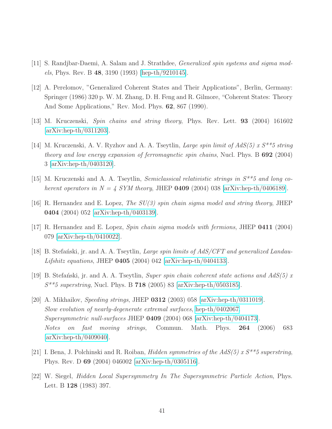- <span id="page-41-11"></span><span id="page-41-10"></span>[11] S. Randjbar-Daemi, A. Salam and J. Strathdee, *Generalized spin systems and sigma models*, Phys. Rev. B 48, 3190 (1993) [\[hep-th/9210145\]](http://arXiv.org/abs/hep-th/9210145).
- [12] A. Perelomov, "Generalized Coherent States and Their Applications", Berlin, Germany: Springer (1986) 320 p. W. M. Zhang, D. H. Feng and R. Gilmore, "Coherent States: Theory And Some Applications," Rev. Mod. Phys. 62, 867 (1990).
- <span id="page-41-2"></span><span id="page-41-1"></span>[13] M. Kruczenski, *Spin chains and string theory*, Phys. Rev. Lett. 93 (2004) 161602 [\[arXiv:hep-th/0311203\]](http://arXiv.org/abs/hep-th/0311203).
- [14] M. Kruczenski, A. V. Ryzhov and A. A. Tseytlin, *Large spin limit of AdS(5) x S\*\*5 string theory and low energy expansion of ferromagnetic spin chains*, Nucl. Phys. B 692 (2004) 3 [\[arXiv:hep-th/0403120\]](http://arXiv.org/abs/hep-th/0403120).
- <span id="page-41-5"></span><span id="page-41-3"></span>[15] M. Kruczenski and A. A. Tseytlin, *Semiclassical relativistic strings in S\*\*5 and long coherent operators in*  $N = 4$  *SYM theory*, JHEP **0409** (2004) 038 [\[arXiv:hep-th/0406189\]](http://arXiv.org/abs/hep-th/0406189).
- <span id="page-41-8"></span>[16] R. Hernandez and E. Lopez, *The SU(3) spin chain sigma model and string theory*, JHEP 0404 (2004) 052 [\[arXiv:hep-th/0403139\]](http://arXiv.org/abs/hep-th/0403139).
- <span id="page-41-4"></span>[17] R. Hernandez and E. Lopez, *Spin chain sigma models with fermions*, JHEP 0411 (2004) 079 [\[arXiv:hep-th/0410022\]](http://arXiv.org/abs/hep-th/0410022).
- <span id="page-41-7"></span>[18] B. Stefanski, jr. and A. A. Tseytlin, *Large spin limits of AdS/CFT and generalized Landau-Lifshitz equations*, JHEP 0405 (2004) 042 [\[arXiv:hep-th/0404133\]](http://arXiv.org/abs/hep-th/0404133).
- <span id="page-41-6"></span>[19] B. Stefa´nski, jr. and A. A. Tseytlin, *Super spin chain coherent state actions and AdS(5) x S\*\*5 superstring*, Nucl. Phys. B 718 (2005) 83 [\[arXiv:hep-th/0503185\]](http://arXiv.org/abs/hep-th/0503185).
- [20] A. Mikhailov, *Speeding strings*, JHEP 0312 (2003) 058 [\[arXiv:hep-th/0311019\]](http://arXiv.org/abs/hep-th/0311019). *Slow evolution of nearly-degenerate extremal surfaces*, [hep-th/0402067.](http://arXiv.org/abs/hep-th/0402067) *Supersymmetric null-surfaces* JHEP 0409 (2004) 068 [\[arXiv:hep-th/0404173\]](http://arXiv.org/abs/hep-th/0404173). *Notes on fast moving strings*, Commun. Math. Phys. 264 (2006) 683  $\arXiv:hep-th/0409040$ .
- <span id="page-41-9"></span><span id="page-41-0"></span>[21] I. Bena, J. Polchinski and R. Roiban, *Hidden symmetries of the AdS(5) x S\*\*5 superstring*, Phys. Rev. D 69 (2004) 046002 [\[arXiv:hep-th/0305116\]](http://arXiv.org/abs/hep-th/0305116).
- [22] W. Siegel, *Hidden Local Supersymmetry In The Supersymmetric Particle Action*, Phys. Lett. B 128 (1983) 397.